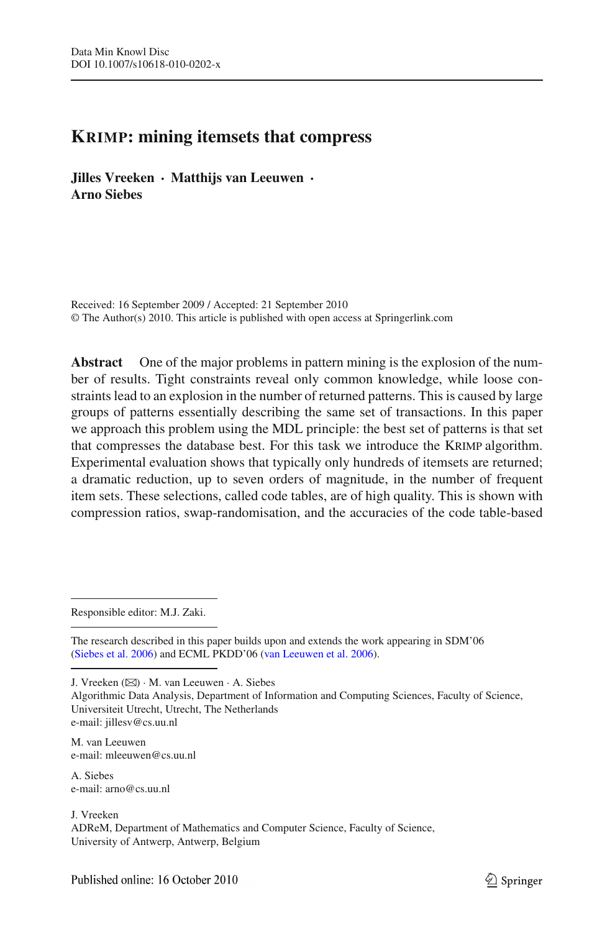# **KRIMP: mining itemsets that compress**

**Jilles Vreeken · Matthijs van Leeuwen · Arno Siebes**

Received: 16 September 2009 / Accepted: 21 September 2010 © The Author(s) 2010. This article is published with open access at Springerlink.com

**Abstract** One of the major problems in pattern mining is the explosion of the number of results. Tight constraints reveal only common knowledge, while loose constraints lead to an explosion in the number of returned patterns. This is caused by large groups of patterns essentially describing the same set of transactions. In this paper we approach this problem using the MDL principle: the best set of patterns is that set that compresses the database best. For this task we introduce the Krimp algorithm. Experimental evaluation shows that typically only hundreds of itemsets are returned; a dramatic reduction, up to seven orders of magnitude, in the number of frequent item sets. These selections, called code tables, are of high quality. This is shown with compression ratios, swap-randomisation, and the accuracies of the code table-based

Responsible editor: M.J. Zaki.

J. Vreeken  $(\boxtimes)$  · M. van Leeuwen · A. Siebes

Algorithmic Data Analysis, Department of Information and Computing Sciences, Faculty of Science, Universiteit Utrecht, Utrecht, The Netherlands e-mail: jillesv@cs.uu.nl

M. van Leeuwen e-mail: mleeuwen@cs.uu.nl

A. Siebes e-mail: arno@cs.uu.nl

J. Vreeken ADReM, Department of Mathematics and Computer Science, Faculty of Science, University of Antwerp, Antwerp, Belgium

The research described in this paper builds upon and extends the work appearing in SDM'06 [\(Siebes et al. 2006\)](#page-44-0) and ECML PKDD'06 [\(van Leeuwen et al. 2006\)](#page-45-0).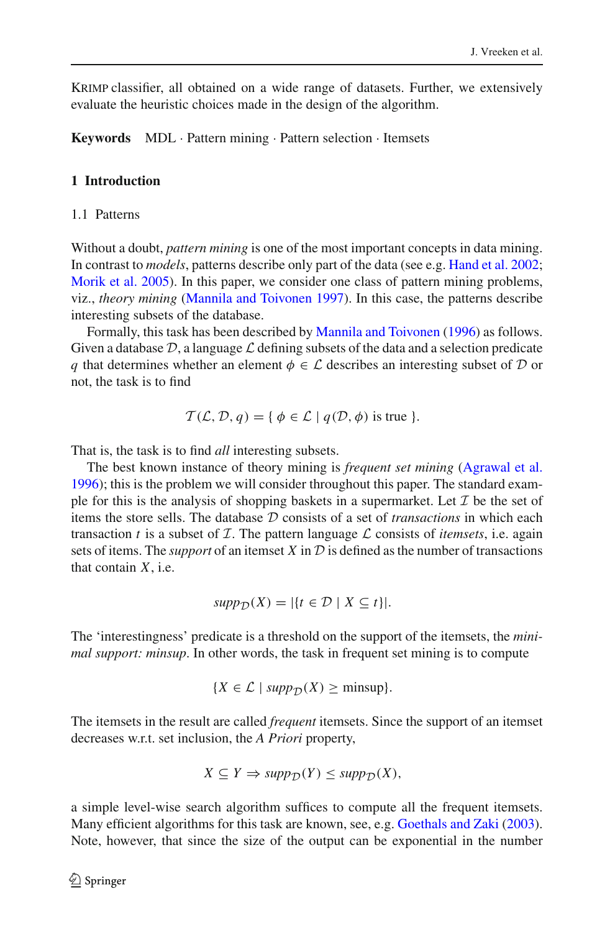Krimp classifier, all obtained on a wide range of datasets. Further, we extensively evaluate the heuristic choices made in the design of the algorithm.

**Keywords** MDL · Pattern mining · Pattern selection · Itemsets

### **1 Introduction**

### 1.1 Patterns

Without a doubt, *pattern mining* is one of the most important concepts in data mining. In contrast to *models*, patterns describe only part of the data (see e.g. [Hand et al. 2002](#page-44-1); [Morik et al. 2005](#page-44-2)). In this paper, we consider one class of pattern mining problems, viz., *theory mining* [\(Mannila and Toivonen 1997\)](#page-44-3). In this case, the patterns describe interesting subsets of the database.

Formally, this task has been described by [Mannila and Toivonen](#page-44-4) [\(1996](#page-44-4)) as follows. Given a database *D*, a language *L* defining subsets of the data and a selection predicate *q* that determines whether an element  $\phi \in \mathcal{L}$  describes an interesting subset of *D* or not, the task is to find

$$
\mathcal{T}(\mathcal{L}, \mathcal{D}, q) = \{ \phi \in \mathcal{L} \mid q(\mathcal{D}, \phi) \text{ is true } \}.
$$

That is, the task is to find *all* interesting subsets.

The best known instance of theory mining is *frequent set mining* [\(Agrawal et al.](#page-43-0) [1996\)](#page-43-0); this is the problem we will consider throughout this paper. The standard example for this is the analysis of shopping baskets in a supermarket. Let *I* be the set of items the store sells. The database *D* consists of a set of *transactions* in which each transaction *t* is a subset of  $I$ . The pattern language  $L$  consists of *itemsets*, i.e. again sets of items. The *support* of an itemset *X* in  $D$  is defined as the number of transactions that contain *X*, i.e.

$$
supp_{\mathcal{D}}(X) = |\{t \in \mathcal{D} \mid X \subseteq t\}|.
$$

The 'interestingness' predicate is a threshold on the support of the itemsets, the *minimal support: minsup*. In other words, the task in frequent set mining is to compute

$$
\{X \in \mathcal{L} \mid \text{supp}_{\mathcal{D}}(X) \ge \text{minsup}\}.
$$

The itemsets in the result are called *frequent* itemsets. Since the support of an itemset decreases w.r.t. set inclusion, the *A Priori* property,

$$
X \subseteq Y \Rightarrow supp_{\mathcal{D}}(Y) \leq supp_{\mathcal{D}}(X),
$$

a simple level-wise search algorithm suffices to compute all the frequent itemsets. Many efficient algorithms for this task are known, see, e.g. [Goethals and Zaki](#page-43-1) [\(2003](#page-43-1)). Note, however, that since the size of the output can be exponential in the number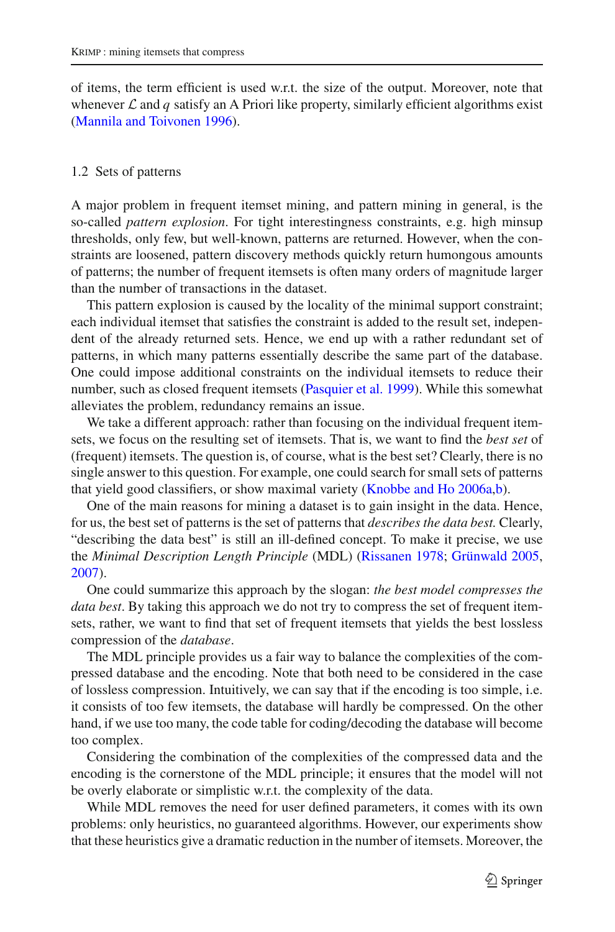of items, the term efficient is used w.r.t. the size of the output. Moreover, note that whenever  $\mathcal L$  and  $q$  satisfy an A Priori like property, similarly efficient algorithms exist [\(Mannila and Toivonen 1996\)](#page-44-4).

### 1.2 Sets of patterns

A major problem in frequent itemset mining, and pattern mining in general, is the so-called *pattern explosion*. For tight interestingness constraints, e.g. high minsup thresholds, only few, but well-known, patterns are returned. However, when the constraints are loosened, pattern discovery methods quickly return humongous amounts of patterns; the number of frequent itemsets is often many orders of magnitude larger than the number of transactions in the dataset.

This pattern explosion is caused by the locality of the minimal support constraint; each individual itemset that satisfies the constraint is added to the result set, independent of the already returned sets. Hence, we end up with a rather redundant set of patterns, in which many patterns essentially describe the same part of the database. One could impose additional constraints on the individual itemsets to reduce their number, such as closed frequent itemsets [\(Pasquier et al. 1999](#page-44-5)). While this somewhat alleviates the problem, redundancy remains an issue.

We take a different approach: rather than focusing on the individual frequent itemsets, we focus on the resulting set of itemsets. That is, we want to find the *best set* of (frequent) itemsets. The question is, of course, what is the best set? Clearly, there is no single answer to this question. For example, one could search for small sets of patterns that yield good classifiers, or show maximal variety [\(Knobbe and Ho 2006a](#page-44-6)[,b](#page-44-7)).

One of the main reasons for mining a dataset is to gain insight in the data. Hence, for us, the best set of patterns is the set of patterns that *describes the data best.* Clearly, "describing the data best" is still an ill-defined concept. To make it precise, we use the *Minimal Description Length Principle* (MDL) [\(Rissanen 1978](#page-44-8); [Grünwald 2005,](#page-44-9) [2007\)](#page-44-10).

One could summarize this approach by the slogan: *the best model compresses the data best*. By taking this approach we do not try to compress the set of frequent itemsets, rather, we want to find that set of frequent itemsets that yields the best lossless compression of the *database*.

The MDL principle provides us a fair way to balance the complexities of the compressed database and the encoding. Note that both need to be considered in the case of lossless compression. Intuitively, we can say that if the encoding is too simple, i.e. it consists of too few itemsets, the database will hardly be compressed. On the other hand, if we use too many, the code table for coding/decoding the database will become too complex.

Considering the combination of the complexities of the compressed data and the encoding is the cornerstone of the MDL principle; it ensures that the model will not be overly elaborate or simplistic w.r.t. the complexity of the data.

While MDL removes the need for user defined parameters, it comes with its own problems: only heuristics, no guaranteed algorithms. However, our experiments show that these heuristics give a dramatic reduction in the number of itemsets. Moreover, the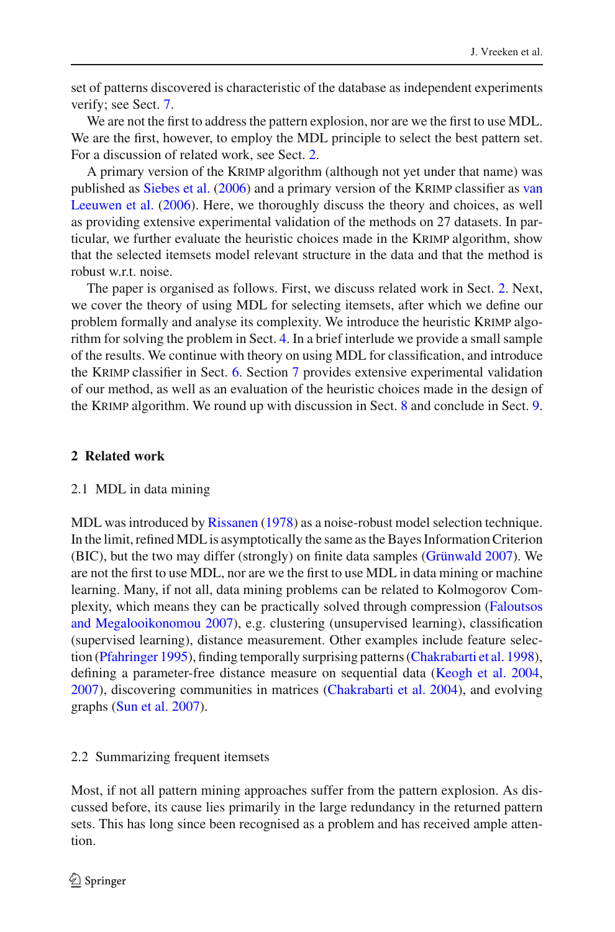set of patterns discovered is characteristic of the database as independent experiments verify; see Sect. [7.](#page-23-0)

We are not the first to address the pattern explosion, nor are we the first to use MDL. We are the first, however, to employ the MDL principle to select the best pattern set. For a discussion of related work, see Sect. [2.](#page-3-0)

A primary version of the Krimp algorithm (although not yet under that name) was published as [Siebes et al.](#page-44-0) [\(2006](#page-44-0)[\)](#page-45-0) [and](#page-45-0) [a](#page-45-0) [primary](#page-45-0) [version](#page-45-0) [of](#page-45-0) [the](#page-45-0) Krimp classifier as van Leeuwen et al. [\(2006](#page-45-0)). Here, we thoroughly discuss the theory and choices, as well as providing extensive experimental validation of the methods on 27 datasets. In particular, we further evaluate the heuristic choices made in the Krimp algorithm, show that the selected itemsets model relevant structure in the data and that the method is robust w.r.t. noise.

The paper is organised as follows. First, we discuss related work in Sect. [2.](#page-3-0) Next, we cover the theory of using MDL for selecting itemsets, after which we define our problem formally and analyse its complexity. We introduce the heuristic Krimp algorithm for solving the problem in Sect. [4.](#page-13-0) In a brief interlude we provide a small sample of the results. We continue with theory on using MDL for classification, and introduce the Krimp classifier in Sect. [6.](#page-21-0) Section [7](#page-23-0) provides extensive experimental validation of our method, as well as an evaluation of the heuristic choices made in the design of the Krimp algorithm. We round up with discussion in Sect. [8](#page-40-0) and conclude in Sect. [9.](#page-41-0)

# <span id="page-3-0"></span>**2 Related work**

### 2.1 MDL in data mining

MDL was introduced by [Rissanen](#page-44-8) [\(1978\)](#page-44-8) as a noise-robust model selection technique. In the limit, refined MDL is asymptotically the same as the Bayes Information Criterion (BIC), but the two may differ (strongly) on finite data samples [\(Grünwald 2007\)](#page-44-10). We are not the first to use MDL, nor are we the first to use MDL in data mining or machine learning. Many, if not all, data mining problems can be related to Kolmogorov Complexity, which means t[hey](#page-43-2) [can](#page-43-2) [be](#page-43-2) [practically](#page-43-2) [solved](#page-43-2) [through](#page-43-2) [compression](#page-43-2) [\(](#page-43-2)Faloutsos and Megalooikonomou [2007\)](#page-43-2), e.g. clustering (unsupervised learning), classification (supervised learning), distance measurement. Other examples include feature selection [\(Pfahringer 1995](#page-44-11)), finding temporally surprising patterns [\(Chakrabarti et al. 1998](#page-43-3)), defining a parameter-free distance measure on sequential data [\(Keogh et al. 2004,](#page-44-12) [2007\)](#page-44-13), discovering communities in matrices [\(Chakrabarti et al. 2004](#page-43-4)), and evolving graphs [\(Sun et al. 2007\)](#page-44-14).

# 2.2 Summarizing frequent itemsets

Most, if not all pattern mining approaches suffer from the pattern explosion. As discussed before, its cause lies primarily in the large redundancy in the returned pattern sets. This has long since been recognised as a problem and has received ample attention.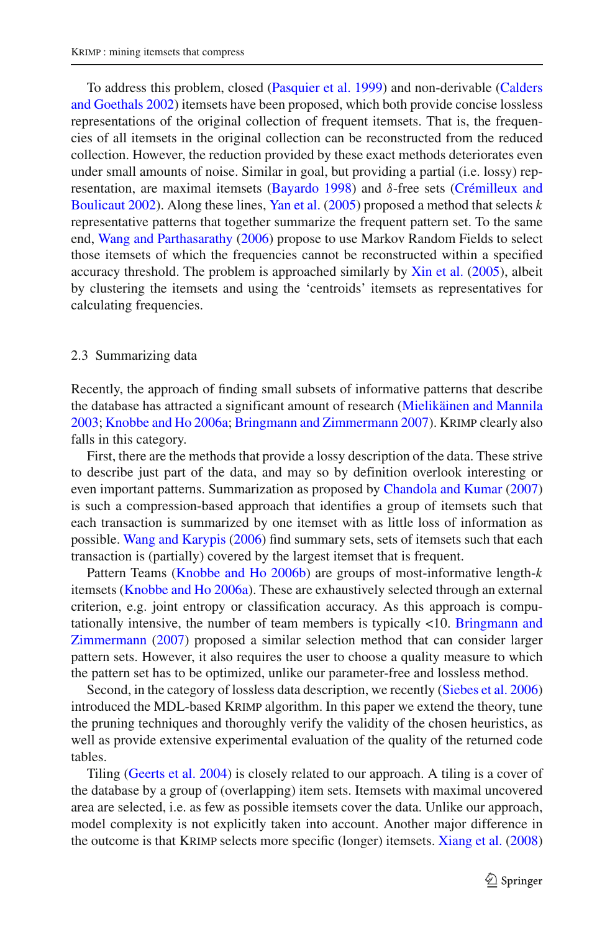To addres[s this problem, closed](#page-43-5) [\(Pasquier et al. 1999](#page-44-5)[\) and non-derivable \(](#page-43-5)Calders and Goethals [2002\)](#page-43-5) itemsets have been proposed, which both provide concise lossless representations of the original collection of frequent itemsets. That is, the frequencies of all itemsets in the original collection can be reconstructed from the reduced collection. However, the reduction provided by these exact methods deteriorates even under small amounts of noise. Similar in goal, but providing a partial (i.e. lossy) representati[on,](#page-43-7) [are](#page-43-7) [maximal](#page-43-7) [itemsets](#page-43-7) [\(Bayardo 1998](#page-43-6)[\)](#page-43-7) [and](#page-43-7) δ-free sets (Crémilleux and Boulicaut [2002\)](#page-43-7). Along these lines, [Yan et al.](#page-45-1) [\(2005\)](#page-45-1) proposed a method that selects *k* representative patterns that together summarize the frequent pattern set. To the same end, [Wang and Parthasarathy](#page-45-2) [\(2006](#page-45-2)) propose to use Markov Random Fields to select those itemsets of which the frequencies cannot be reconstructed within a specified accuracy threshold. The problem is approached similarly by [Xin et al.](#page-45-3) [\(2005](#page-45-3)), albeit by clustering the itemsets and using the 'centroids' itemsets as representatives for calculating frequencies.

### 2.3 Summarizing data

Recently, the approach of finding small subsets of informative patterns that describe the database has attracted a significant amount of research [\(Mielikäinen and Mannila](#page-44-15) [2003;](#page-44-15) [Knobbe and Ho 2006a](#page-44-6); [Bringmann and Zimmermann 2007\)](#page-43-8). Krimp clearly also falls in this category.

First, there are the methods that provide a lossy description of the data. These strive to describe just part of the data, and may so by definition overlook interesting or even important patterns. Summarization as proposed by [Chandola and Kumar](#page-43-9) [\(2007\)](#page-43-9) is such a compression-based approach that identifies a group of itemsets such that each transaction is summarized by one itemset with as little loss of information as possible. [Wang and Karypis](#page-45-4) [\(2006](#page-45-4)) find summary sets, sets of itemsets such that each transaction is (partially) covered by the largest itemset that is frequent.

Pattern Teams [\(Knobbe and Ho 2006b\)](#page-44-7) are groups of most-informative length-*k* itemsets [\(Knobbe and Ho 2006a](#page-44-6)). These are exhaustively selected through an external criterion, e.g. joint entropy or classification accuracy. As this approach is computationally int[ensive, the number of team members is typically <10.](#page-43-8) Bringmann and Zimmermann [\(2007\)](#page-43-8) proposed a similar selection method that can consider larger pattern sets. However, it also requires the user to choose a quality measure to which the pattern set has to be optimized, unlike our parameter-free and lossless method.

Second, in the category of lossless data description, we recently [\(Siebes et al. 2006\)](#page-44-0) introduced the MDL-based Krimp algorithm. In this paper we extend the theory, tune the pruning techniques and thoroughly verify the validity of the chosen heuristics, as well as provide extensive experimental evaluation of the quality of the returned code tables.

Tiling [\(Geerts et al. 2004](#page-43-10)) is closely related to our approach. A tiling is a cover of the database by a group of (overlapping) item sets. Itemsets with maximal uncovered area are selected, i.e. as few as possible itemsets cover the data. Unlike our approach, model complexity is not explicitly taken into account. Another major difference in the outcome is that Krimp selects more specific (longer) itemsets. [Xiang et al.](#page-45-5) [\(2008\)](#page-45-5)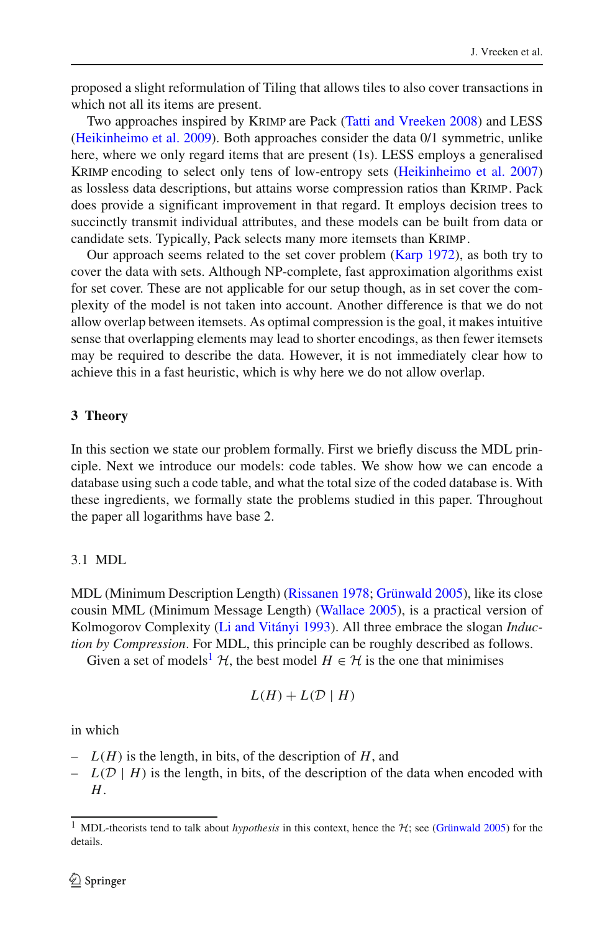proposed a slight reformulation of Tiling that allows tiles to also cover transactions in which not all its items are present.

Two approaches inspired by Krimp are Pack [\(Tatti and Vreeken 2008](#page-44-16)) and LESS [\(Heikinheimo et al. 2009](#page-44-17)). Both approaches consider the data 0/1 symmetric, unlike here, where we only regard items that are present (1s). LESS employs a generalised Krimp encoding to select only tens of low-entropy sets [\(Heikinheimo et al. 2007\)](#page-44-18) as lossless data descriptions, but attains worse compression ratios than Krimp. Pack does provide a significant improvement in that regard. It employs decision trees to succinctly transmit individual attributes, and these models can be built from data or candidate sets. Typically, Pack selects many more itemsets than Krimp.

Our approach seems related to the set cover problem [\(Karp 1972](#page-44-19)), as both try to cover the data with sets. Although NP-complete, fast approximation algorithms exist for set cover. These are not applicable for our setup though, as in set cover the complexity of the model is not taken into account. Another difference is that we do not allow overlap between itemsets. As optimal compression is the goal, it makes intuitive sense that overlapping elements may lead to shorter encodings, as then fewer itemsets may be required to describe the data. However, it is not immediately clear how to achieve this in a fast heuristic, which is why here we do not allow overlap.

# **3 Theory**

In this section we state our problem formally. First we briefly discuss the MDL principle. Next we introduce our models: code tables. We show how we can encode a database using such a code table, and what the total size of the coded database is. With these ingredients, we formally state the problems studied in this paper. Throughout the paper all logarithms have base 2.

# 3.1 MDL

MDL (Minimum Description Length) [\(Rissanen 1978](#page-44-8); [Grünwald 2005\)](#page-44-9), like its close cousin MML (Minimum Message Length) [\(Wallace 2005\)](#page-45-6), is a practical version of Kolmogorov Complexity [\(Li and Vitányi 1993](#page-44-20)). All three embrace the slogan *Induction by Compression*. For MDL, this principle can be roughly described as follows.

Given a set of models<sup>[1](#page-5-0)</sup>  $H$ , the best model  $H \in H$  is the one that minimises

$$
L(H) + L(\mathcal{D} \mid H)
$$

in which

- *L*(*H*) is the length, in bits, of the description of *H*, and
- $-L(D | H)$  is the length, in bits, of the description of the data when encoded with *H*.

<span id="page-5-0"></span><sup>&</sup>lt;sup>1</sup> MDL-theorists tend to talk about *hypothesis* in this context, hence the  $H$ ; see [\(Grünwald 2005\)](#page-44-9) for the details.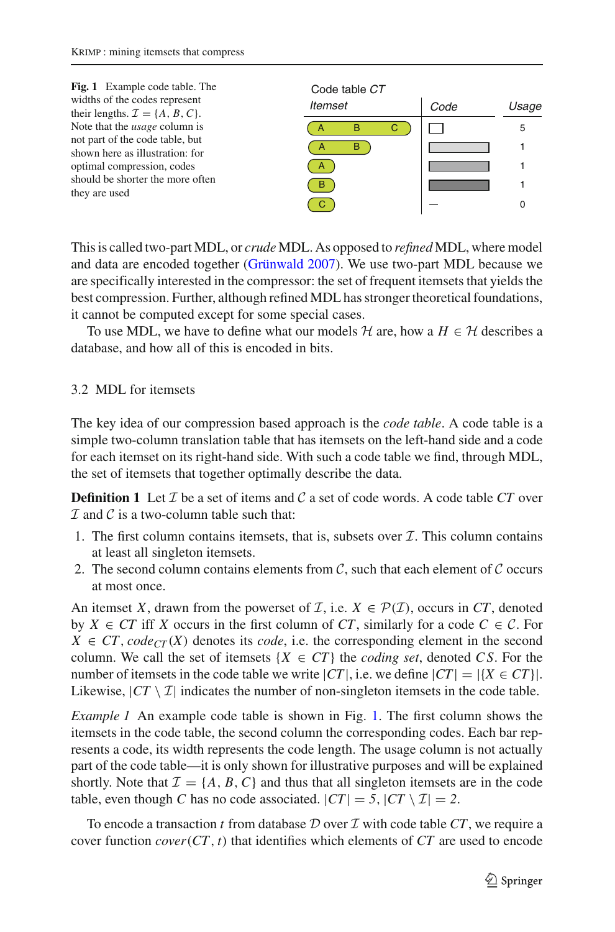<span id="page-6-0"></span>

This is called two-part MDL, or *crude* MDL. As opposed to *refined* MDL, where model and data are encoded together [\(Grünwald 2007\)](#page-44-10). We use two-part MDL because we are specifically interested in the compressor: the set of frequent itemsets that yields the best compression. Further, although refined MDL has stronger theoretical foundations, it cannot be computed except for some special cases.

To use MDL, we have to define what our models  $H$  are, how a  $H \in \mathcal{H}$  describes a database, and how all of this is encoded in bits.

# 3.2 MDL for itemsets

The key idea of our compression based approach is the *code table*. A code table is a simple two-column translation table that has itemsets on the left-hand side and a code for each itemset on its right-hand side. With such a code table we find, through MDL, the set of itemsets that together optimally describe the data.

**Definition 1** Let  $\mathcal I$  be a set of items and  $\mathcal C$  a set of code words. A code table  $CT$  over *I* and *C* is a two-column table such that:

- 1. The first column contains itemsets, that is, subsets over *I*. This column contains at least all singleton itemsets.
- 2. The second column contains elements from  $C$ , such that each element of  $C$  occurs at most once.

An itemset *X*, drawn from the powerset of *I*, i.e.  $X \in \mathcal{P}(\mathcal{I})$ , occurs in *CT*, denoted by  $X \in \mathbb{C}$  iff *X* occurs in the first column of  $\mathbb{C}$ , similarly for a code  $C \in \mathcal{C}$ . For  $X \in \mathbb{C}T$ , *code* $_{\mathbb{C}T}(X)$  denotes its *code*, i.e. the corresponding element in the second column. We call the set of itemsets  $\{X \in \mathbb{C}T\}$  the *coding set*, denoted CS. For the number of itemsets in the code table we write  $|CT|$ , i.e. we define  $|CT| = |\{X \in CT\}|$ . Likewise,  $|CT \setminus \mathcal{I}|$  indicates the number of non-singleton itemsets in the code table.

*Example 1* An example code table is shown in Fig. [1.](#page-6-0) The first column shows the itemsets in the code table, the second column the corresponding codes. Each bar represents a code, its width represents the code length. The usage column is not actually part of the code table—it is only shown for illustrative purposes and will be explained shortly. Note that  $\mathcal{I} = \{A, B, C\}$  and thus that all singleton itemsets are in the code table, even though *C* has no code associated.  $|CT| = 5$ ,  $|CT \setminus \mathcal{I}| = 2$ .

To encode a transaction *t* from database *D* over *I* with code table *CT*, we require a cover function  $cover(CT, t)$  that identifies which elements of  $CT$  are used to encode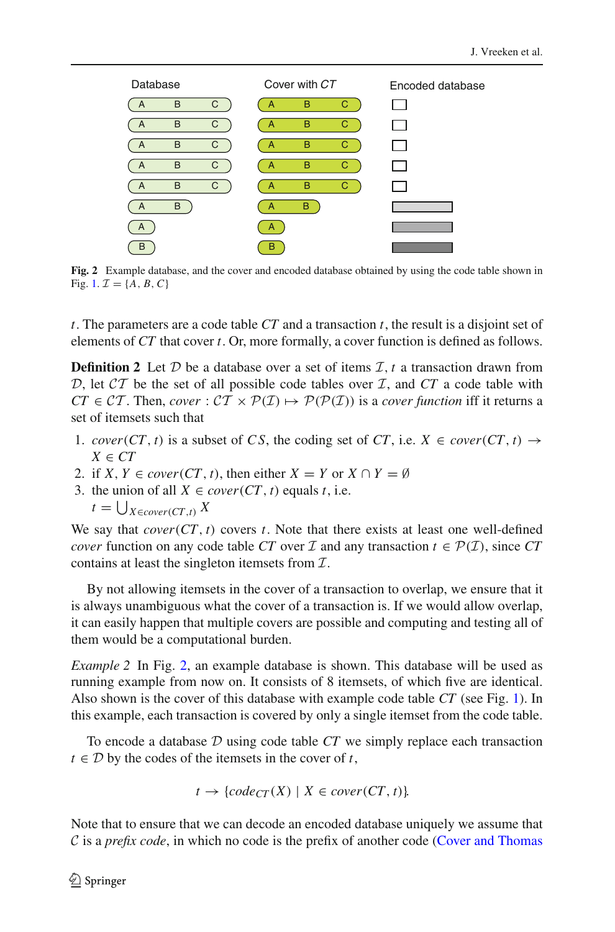

<span id="page-7-0"></span>**Fig. 2** Example database, and the cover and encoded database obtained by using the code table shown in Fig. [1.](#page-6-0)  $\mathcal{I} = \{A, B, C\}$ 

*t*. The parameters are a code table *CT* and a transaction *t*, the result is a disjoint set of elements of *CT* that cover *t*. Or, more formally, a cover function is defined as follows.

**Definition 2** Let  $D$  be a database over a set of items  $I, t$  a transaction drawn from *D*, let *CT* be the set of all possible code tables over *I*, and *CT* a code table with  $CT \in \mathcal{CT}$ . Then, *cover* :  $CT \times \mathcal{P}(T) \mapsto \mathcal{P}(\mathcal{P}(T))$  is a *cover function* iff it returns a set of itemsets such that

- 1. *cover*( $CT$ , *t*) is a subset of *CS*, the coding set of  $CT$ , i.e.  $X \in cover(T, t) \rightarrow$  $X \in \mathbb{C}T$
- 2. if  $X, Y \in cover(CT, t)$ , then either  $X = Y$  or  $X \cap Y = \emptyset$
- 3. the union of all  $X \in cover(CT, t)$  equals *t*, i.e.
	- $t = \bigcup_{X \in cover(CT,t)} X$

We say that  $cover(CT, t)$  covers *t*. Note that there exists at least one well-defined *cover* function on any code table *CT* over *I* and any transaction  $t \in \mathcal{P}(I)$ , since *CT* contains at least the singleton itemsets from *I*.

By not allowing itemsets in the cover of a transaction to overlap, we ensure that it is always unambiguous what the cover of a transaction is. If we would allow overlap, it can easily happen that multiple covers are possible and computing and testing all of them would be a computational burden.

*Example 2* In Fig. [2,](#page-7-0) an example database is shown. This database will be used as running example from now on. It consists of 8 itemsets, of which five are identical. Also shown is the cover of this database with example code table *CT* (see Fig. [1\)](#page-6-0). In this example, each transaction is covered by only a single itemset from the code table.

To encode a database *D* using code table *CT* we simply replace each transaction  $t \in \mathcal{D}$  by the codes of the itemsets in the cover of *t*,

$$
t \to \{code_{CT}(X) \mid X \in cover(CT, t)\}.
$$

Note that to ensure that we can decode an encoded database uniquely we assume that *C* is a *prefix code*, in which no code is the prefix of another code [\(Cover and Thomas](#page-43-11)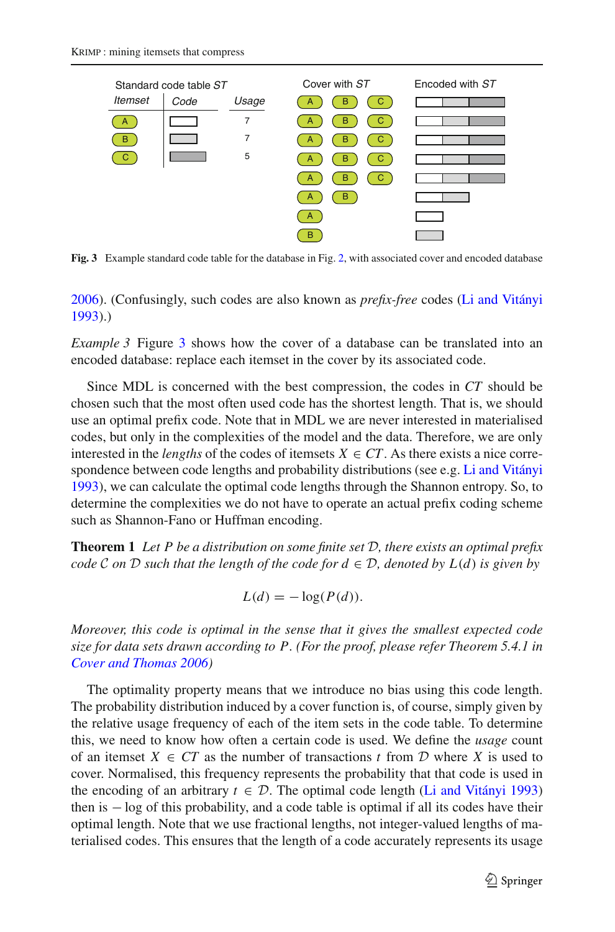

<span id="page-8-0"></span>**Fig. 3** Example standard code table for the database in Fig. [2,](#page-7-0) with associated cover and encoded database

[2006\)](#page-43-11). (Confusingly, such codes are also known as *prefix-free* codes [\(Li and Vitányi](#page-44-20) [1993\)](#page-44-20).)

*Example [3](#page-8-0)* Figure 3 shows how the cover of a database can be translated into an encoded database: replace each itemset in the cover by its associated code.

Since MDL is concerned with the best compression, the codes in *CT* should be chosen such that the most often used code has the shortest length. That is, we should use an optimal prefix code. Note that in MDL we are never interested in materialised codes, but only in the complexities of the model and the data. Therefore, we are only interested in the *lengths* of the codes of itemsets  $X \in \mathbb{C}T$ . As there exists a nice correspondence between code lengths and probability distributions (see e.g. [Li and Vitányi](#page-44-20) [1993\)](#page-44-20), we can calculate the optimal code lengths through the Shannon entropy. So, to determine the complexities we do not have to operate an actual prefix coding scheme such as Shannon-Fano or Huffman encoding.

**Theorem 1** *Let P be a distribution on some finite set D, there exists an optimal prefix code*  $\mathcal{C}$  *on*  $\mathcal{D}$  *such that the length of the code for*  $d \in \mathcal{D}$ *, denoted by*  $L(d)$  *is given by* 

$$
L(d) = -\log(P(d)).
$$

*Moreover, this code is optimal in the sense that it gives the smallest expected code size for data sets drawn according to P. (For the proof, please refer Theorem 5.4.1 in [Cover and Thomas 2006\)](#page-43-11)*

The optimality property means that we introduce no bias using this code length. The probability distribution induced by a cover function is, of course, simply given by the relative usage frequency of each of the item sets in the code table. To determine this, we need to know how often a certain code is used. We define the *usage* count of an itemset  $X \in \mathbb{C}$  as the number of transactions t from  $\mathcal D$  where X is used to cover. Normalised, this frequency represents the probability that that code is used in the encoding of an arbitrary  $t \in \mathcal{D}$ . The optimal code length [\(Li and Vitányi 1993\)](#page-44-20) then is − log of this probability, and a code table is optimal if all its codes have their optimal length. Note that we use fractional lengths, not integer-valued lengths of materialised codes. This ensures that the length of a code accurately represents its usage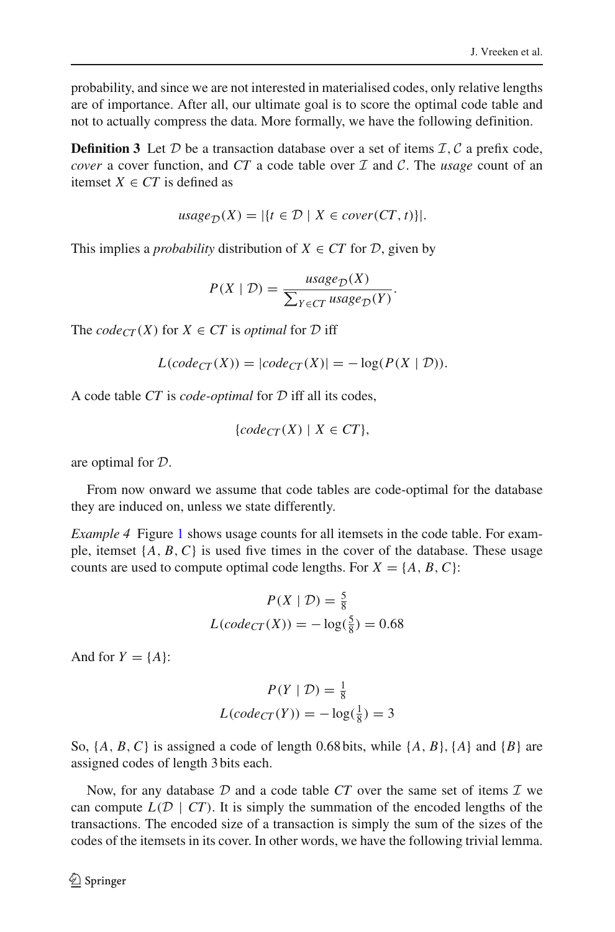probability, and since we are not interested in materialised codes, only relative lengths are of importance. After all, our ultimate goal is to score the optimal code table and not to actually compress the data. More formally, we have the following definition.

**Definition 3** Let  $D$  be a transaction database over a set of items  $\mathcal{I}, \mathcal{C}$  a prefix code, *cover* a cover function, and *CT* a code table over *I* and *C*. The *usage* count of an itemset  $X \in \mathbb{C}T$  is defined as

$$
usage_{\mathcal{D}}(X) = |\{t \in \mathcal{D} \mid X \in cover(CT, t)\}|.
$$

This implies a *probability* distribution of  $X \in \mathbb{C}$  for  $\mathcal{D}$ , given by

$$
P(X \mid \mathcal{D}) = \frac{usage_{\mathcal{D}}(X)}{\sum_{Y \in CT} usage_{\mathcal{D}}(Y)}.
$$

The *code* $_{CT}(X)$  for  $X \in CT$  is *optimal* for  $D$  iff

$$
L(code_{CT}(X)) = |code_{CT}(X)| = -log(P(X | \mathcal{D})).
$$

A code table *CT* is *code-optimal* for *D* iff all its codes,

$$
\{code_{CT}(X) \mid X \in CT\},\
$$

are optimal for *D*.

From now onward we assume that code tables are code-optimal for the database they are induced on, unless we state differently.

*Example 4* Figure [1](#page-6-0) shows usage counts for all itemsets in the code table. For example, itemset  $\{A, B, C\}$  is used five times in the cover of the database. These usage counts are used to compute optimal code lengths. For  $X = \{A, B, C\}$ :

$$
P(X \mid \mathcal{D}) = \frac{5}{8}
$$

$$
L(code_{CT}(X)) = -\log(\frac{5}{8}) = 0.68
$$

And for  $Y = \{A\}$ :

$$
P(Y | \mathcal{D}) = \frac{1}{8}
$$

$$
L(code_{CT}(Y)) = -log(\frac{1}{8}) = 3
$$

So,  $\{A, B, C\}$  is assigned a code of length 0.68 bits, while  $\{A, B\}$ ,  $\{A\}$  and  $\{B\}$  are assigned codes of length 3 bits each.

<span id="page-9-0"></span>Now, for any database *D* and a code table *CT* over the same set of items *I* we can compute  $L(D \mid CT)$ . It is simply the summation of the encoded lengths of the transactions. The encoded size of a transaction is simply the sum of the sizes of the codes of the itemsets in its cover. In other words, we have the following trivial lemma.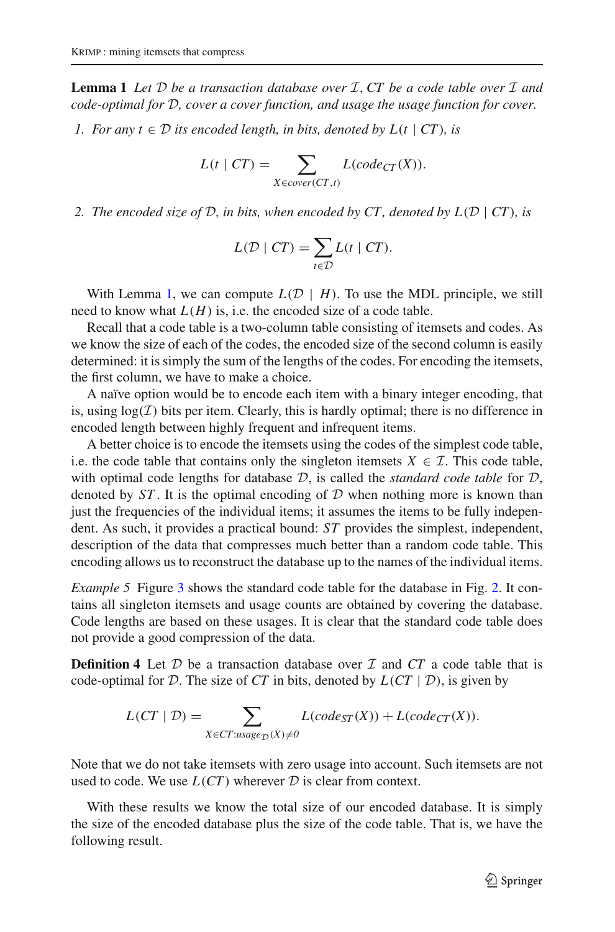**Lemma 1** *Let D be a transaction database over I*,*CT be a code table over I and code-optimal for D, cover a cover function, and usage the usage function for cover.*

*1. For any t* ∈  $D$  *its encoded length, in bits, denoted by L(t* |  $CT$ )*, is* 

$$
L(t \mid CT) = \sum_{X \in cover(CT, t)} L(code_{CT}(X)).
$$

#### *2. The encoded size of D, in bits, when encoded by CT, denoted by L*(*D* | *CT*)*, is*

$$
L(\mathcal{D} \mid CT) = \sum_{t \in \mathcal{D}} L(t \mid CT).
$$

With Lemma [1,](#page-9-0) we can compute  $L(\mathcal{D} \mid H)$ . To use the MDL principle, we still need to know what  $L(H)$  is, i.e. the encoded size of a code table.

Recall that a code table is a two-column table consisting of itemsets and codes. As we know the size of each of the codes, the encoded size of the second column is easily determined: it is simply the sum of the lengths of the codes. For encoding the itemsets, the first column, we have to make a choice.

A naïve option would be to encode each item with a binary integer encoding, that is, using  $log(T)$  bits per item. Clearly, this is hardly optimal; there is no difference in encoded length between highly frequent and infrequent items.

A better choice is to encode the itemsets using the codes of the simplest code table, i.e. the code table that contains only the singleton itemsets  $X \in \mathcal{I}$ . This code table, with optimal code lengths for database *D*, is called the *standard code table* for *D*, denoted by  $ST$ . It is the optimal encoding of  $D$  when nothing more is known than just the frequencies of the individual items; it assumes the items to be fully independent. As such, it provides a practical bound: *ST* provides the simplest, independent, description of the data that compresses much better than a random code table. This encoding allows us to reconstruct the database up to the names of the individual items.

*Example 5* Figure [3](#page-8-0) shows the standard code table for the database in Fig. [2.](#page-7-0) It contains all singleton itemsets and usage counts are obtained by covering the database. Code lengths are based on these usages. It is clear that the standard code table does not provide a good compression of the data.

**Definition 4** Let  $D$  be a transaction database over  $T$  and  $CT$  a code table that is code-optimal for *D*. The size of *CT* in bits, denoted by  $L(CT | D)$ , is given by

$$
L(CT | \mathcal{D}) = \sum_{X \in CT: usage_{\mathcal{D}}(X) \neq 0} L(code_{ST}(X)) + L(code_{CT}(X)).
$$

Note that we do not take itemsets with zero usage into account. Such itemsets are not used to code. We use  $L(CT)$  wherever  $D$  is clear from context.

With these results we know the total size of our encoded database. It is simply the size of the encoded database plus the size of the code table. That is, we have the following result.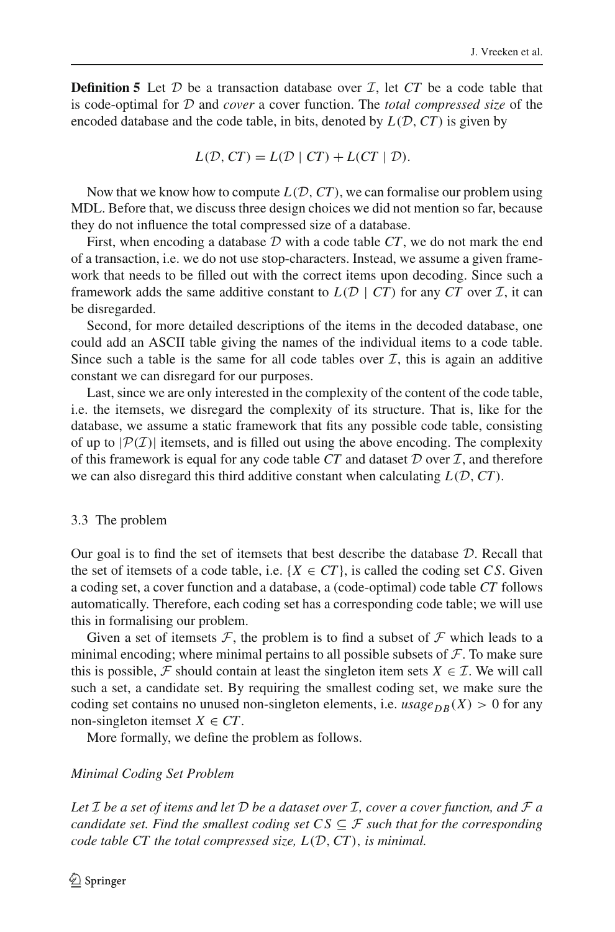**Definition 5** Let *D* be a transaction database over *I*, let *CT* be a code table that is code-optimal for *D* and *cover* a cover function. The *total compressed size* of the encoded database and the code table, in bits, denoted by *L*(*D*,*CT*) is given by

$$
L(\mathcal{D}, CT) = L(\mathcal{D} \mid CT) + L(CT \mid \mathcal{D}).
$$

Now that we know how to compute  $L(D, CT)$ , we can formalise our problem using MDL. Before that, we discuss three design choices we did not mention so far, because they do not influence the total compressed size of a database.

First, when encoding a database *D* with a code table *CT*, we do not mark the end of a transaction, i.e. we do not use stop-characters. Instead, we assume a given framework that needs to be filled out with the correct items upon decoding. Since such a framework adds the same additive constant to  $L(\mathcal{D} \mid CT)$  for any *CT* over *I*, it can be disregarded.

Second, for more detailed descriptions of the items in the decoded database, one could add an ASCII table giving the names of the individual items to a code table. Since such a table is the same for all code tables over  $I$ , this is again an additive constant we can disregard for our purposes.

Last, since we are only interested in the complexity of the content of the code table, i.e. the itemsets, we disregard the complexity of its structure. That is, like for the database, we assume a static framework that fits any possible code table, consisting of up to  $|\mathcal{P}(I)|$  itemsets, and is filled out using the above encoding. The complexity of this framework is equal for any code table  $CT$  and dataset  $D$  over  $\mathcal I$ , and therefore we can also disregard this third additive constant when calculating *L*(*D*,*CT*).

### 3.3 The problem

Our goal is to find the set of itemsets that best describe the database *D*. Recall that the set of itemsets of a code table, i.e.  $\{X \in CT\}$ , is called the coding set *CS*. Given a coding set, a cover function and a database, a (code-optimal) code table *CT* follows automatically. Therefore, each coding set has a corresponding code table; we will use this in formalising our problem.

Given a set of itemsets  $\mathcal F$ , the problem is to find a subset of  $\mathcal F$  which leads to a minimal encoding; where minimal pertains to all possible subsets of *F*. To make sure this is possible,  $\mathcal F$  should contain at least the singleton item sets  $X \in \mathcal I$ . We will call such a set, a candidate set. By requiring the smallest coding set, we make sure the coding set contains no unused non-singleton elements, i.e.  $usage_{DR}(X) > 0$  for any non-singleton itemset  $X \in \mathbb{C}T$ .

More formally, we define the problem as follows.

# *Minimal Coding Set Problem*

*Let I be a set of items and let D be a dataset over I, cover a cover function, and F a candidate set. Find the smallest coding set*  $CS \subseteq \mathcal{F}$  *such that for the corresponding code table CT the total compressed size, L*(*D*,*CT*), *is minimal.*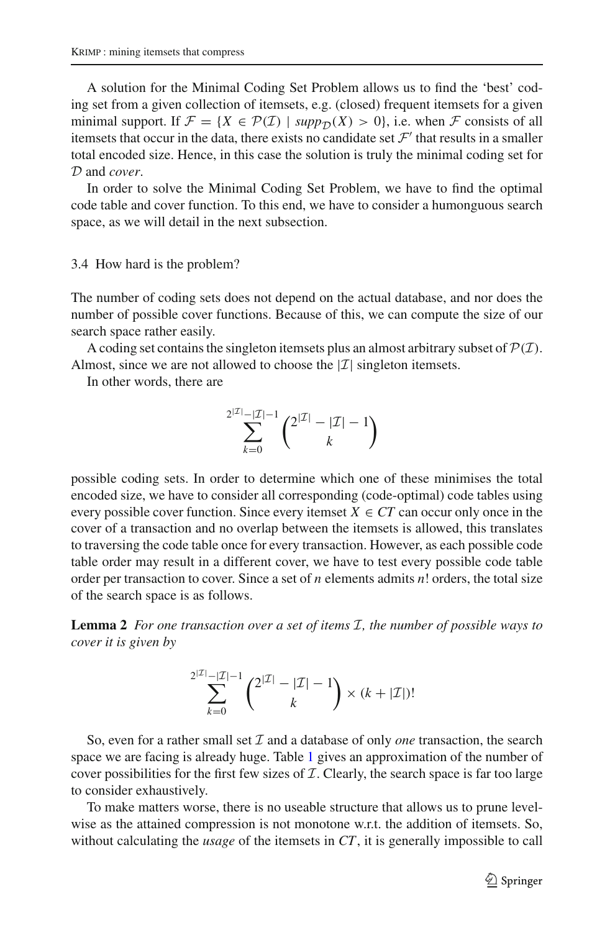A solution for the Minimal Coding Set Problem allows us to find the 'best' coding set from a given collection of itemsets, e.g. (closed) frequent itemsets for a given minimal support. If  $\mathcal{F} = \{X \in \mathcal{P}(\mathcal{I}) \mid supp_{\mathcal{D}}(X) > 0\}$ , i.e. when  $\mathcal F$  consists of all itemsets that occur in the data, there exists no candidate set  $\mathcal{F}'$  that results in a smaller total encoded size. Hence, in this case the solution is truly the minimal coding set for *D* and *cover*.

In order to solve the Minimal Coding Set Problem, we have to find the optimal code table and cover function. To this end, we have to consider a humonguous search space, as we will detail in the next subsection.

### 3.4 How hard is the problem?

The number of coding sets does not depend on the actual database, and nor does the number of possible cover functions. Because of this, we can compute the size of our search space rather easily.

A coding set contains the singleton itemsets plus an almost arbitrary subset of  $P(\mathcal{I})$ . Almost, since we are not allowed to choose the  $|\mathcal{I}|$  singleton itemsets.

In other words, there are

$$
\sum_{k=0}^{2^{|\mathcal{I}|}-|\mathcal{I}|-1} {2^{|\mathcal{I}|}-|\mathcal{I}|-1 \choose k}
$$

possible coding sets. In order to determine which one of these minimises the total encoded size, we have to consider all corresponding (code-optimal) code tables using every possible cover function. Since every itemset  $X \in \mathbb{C}T$  can occur only once in the cover of a transaction and no overlap between the itemsets is allowed, this translates to traversing the code table once for every transaction. However, as each possible code table order may result in a different cover, we have to test every possible code table order per transaction to cover. Since a set of *n* elements admits *n*! orders, the total size of the search space is as follows.

**Lemma 2** *For one transaction over a set of items I, the number of possible ways to cover it is given by*

$$
\sum_{k=0}^{2^{|\mathcal{I}|}-|\mathcal{I}|-1} {2^{|\mathcal{I}|}-|\mathcal{I}|-1 \choose k} \times (k+|\mathcal{I}|)!
$$

So, even for a rather small set *I* and a database of only *one* transaction, the search space we are facing is already huge. Table [1](#page-13-1) gives an approximation of the number of cover possibilities for the first few sizes of *I*. Clearly, the search space is far too large to consider exhaustively.

To make matters worse, there is no useable structure that allows us to prune levelwise as the attained compression is not monotone w.r.t. the addition of itemsets. So, without calculating the *usage* of the itemsets in *CT*, it is generally impossible to call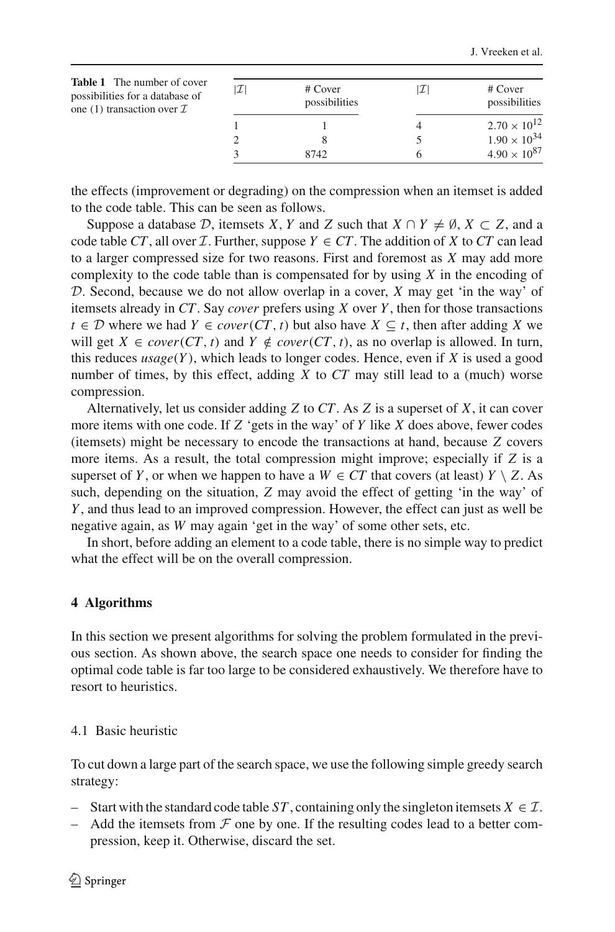<span id="page-13-1"></span>

| <b>Table 1</b> The number of cover<br>possibilities for a database of<br>one (1) transaction over $\mathcal I$ | # Cover<br>possibilities | Ľ. | # Cover<br>possibilities |
|----------------------------------------------------------------------------------------------------------------|--------------------------|----|--------------------------|
|                                                                                                                |                          |    | $2.70 \times 10^{12}$    |
|                                                                                                                |                          |    | $1.90 \times 10^{34}$    |
|                                                                                                                | 8742                     |    | $4.90 \times 10^{87}$    |

the effects (improvement or degrading) on the compression when an itemset is added to the code table. This can be seen as follows.

Suppose a database  $D$ , itemsets *X*, *Y* and *Z* such that  $X \cap Y \neq \emptyset$ ,  $X \subset Z$ , and a code table *CT*, all over *I*. Further, suppose  $Y \in CT$ . The addition of *X* to *CT* can lead to a larger compressed size for two reasons. First and foremost as *X* may add more complexity to the code table than is compensated for by using *X* in the encoding of *D*. Second, because we do not allow overlap in a cover, *X* may get 'in the way' of itemsets already in *CT*. Say *cover* prefers using *X* over *Y* , then for those transactions *t* ∈ *D* where we had *Y* ∈ *cover*(*CT*, *t*) but also have *X* ⊂ *t*, then after adding *X* we will get *X* ∈ *cover*(*CT*, *t*) and *Y* ∉ *cover*(*CT*, *t*), as no overlap is allowed. In turn, this reduces  $usage(Y)$ , which leads to longer codes. Hence, even if  $X$  is used a good number of times, by this effect, adding *X* to *CT* may still lead to a (much) worse compression.

Alternatively, let us consider adding *Z* to *CT*. As *Z* is a superset of *X*, it can cover more items with one code. If *Z* 'gets in the way' of *Y* like *X* does above, fewer codes (itemsets) might be necessary to encode the transactions at hand, because *Z* covers more items. As a result, the total compression might improve; especially if *Z* is a superset of *Y*, or when we happen to have a  $W \in \mathbb{C}T$  that covers (at least)  $Y \setminus Z$ . As such, depending on the situation, *Z* may avoid the effect of getting 'in the way' of *Y* , and thus lead to an improved compression. However, the effect can just as well be negative again, as *W* may again 'get in the way' of some other sets, etc.

In short, before adding an element to a code table, there is no simple way to predict what the effect will be on the overall compression.

# <span id="page-13-0"></span>**4 Algorithms**

In this section we present algorithms for solving the problem formulated in the previous section. As shown above, the search space one needs to consider for finding the optimal code table is far too large to be considered exhaustively. We therefore have to resort to heuristics.

# 4.1 Basic heuristic

To cut down a large part of the search space, we use the following simple greedy search strategy:

- Figure 1.4 Start with the standard code table *ST*, containing only the singleton itemsets  $X \in \mathcal{I}$ .
- $-$  Add the itemsets from  $\mathcal F$  one by one. If the resulting codes lead to a better compression, keep it. Otherwise, discard the set.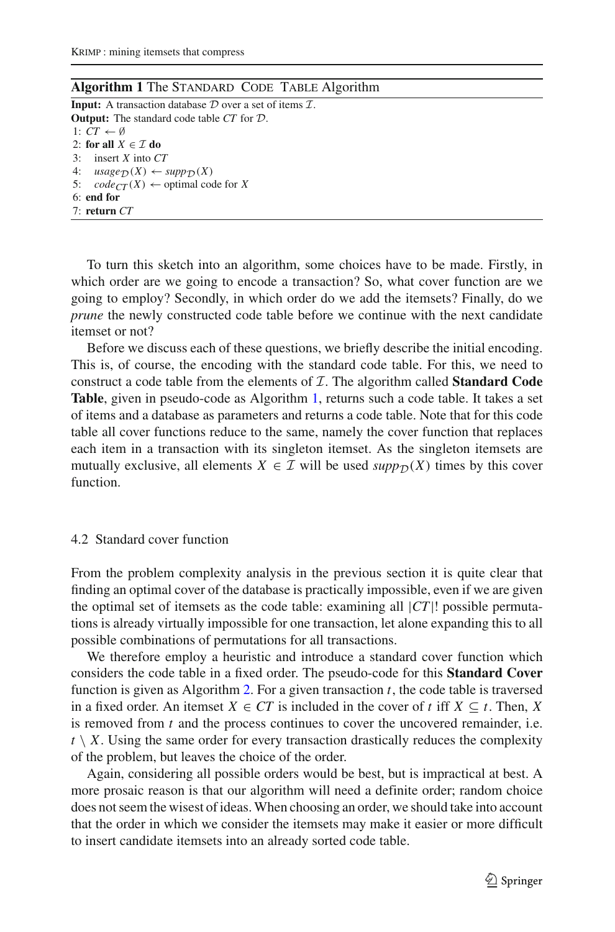| Algorithm 1 The STANDARD CODE TABLE Algorithm |  |  |
|-----------------------------------------------|--|--|
|-----------------------------------------------|--|--|

**Input:** A transaction database *D* over a set of items *I*. **Output:** The standard code table *CT* for *D*. 1:  $CT \leftarrow \emptyset$ 2: **for all**  $X \in \mathcal{I}$  **do** 3: insert *X* into *CT* 4:  $usage_{\mathcal{D}}(X) \leftarrow supp_{\mathcal{D}}(X)$ 5:  $code_{CT}(X) \leftarrow optimal code for X$ 6: **end for** 7: **return** *CT*

<span id="page-14-0"></span>

To turn this sketch into an algorithm, some choices have to be made. Firstly, in which order are we going to encode a transaction? So, what cover function are we going to employ? Secondly, in which order do we add the itemsets? Finally, do we *prune* the newly constructed code table before we continue with the next candidate itemset or not?

Before we discuss each of these questions, we briefly describe the initial encoding. This is, of course, the encoding with the standard code table. For this, we need to construct a code table from the elements of *I*. The algorithm called **Standard Code Table**, given in pseudo-code as Algorithm [1,](#page-14-0) returns such a code table. It takes a set of items and a database as parameters and returns a code table. Note that for this code table all cover functions reduce to the same, namely the cover function that replaces each item in a transaction with its singleton itemset. As the singleton itemsets are mutually exclusive, all elements  $X \in \mathcal{I}$  will be used  $\text{supp}_\mathcal{D}(X)$  times by this cover function.

# 4.2 Standard cover function

From the problem complexity analysis in the previous section it is quite clear that finding an optimal cover of the database is practically impossible, even if we are given the optimal set of itemsets as the code table: examining all |*CT*|! possible permutations is already virtually impossible for one transaction, let alone expanding this to all possible combinations of permutations for all transactions.

We therefore employ a heuristic and introduce a standard cover function which considers the code table in a fixed order. The pseudo-code for this **Standard Cover** function is given as Algorithm [2.](#page-15-0) For a given transaction *t*, the code table is traversed in a fixed order. An itemset  $X \in \mathbb{C}T$  is included in the cover of *t* iff  $X \subseteq t$ . Then, *X* is removed from *t* and the process continues to cover the uncovered remainder, i.e.  $t \, \setminus X$ . Using the same order for every transaction drastically reduces the complexity of the problem, but leaves the choice of the order.

Again, considering all possible orders would be best, but is impractical at best. A more prosaic reason is that our algorithm will need a definite order; random choice does not seem the wisest of ideas. When choosing an order, we should take into account that the order in which we consider the itemsets may make it easier or more difficult to insert candidate itemsets into an already sorted code table.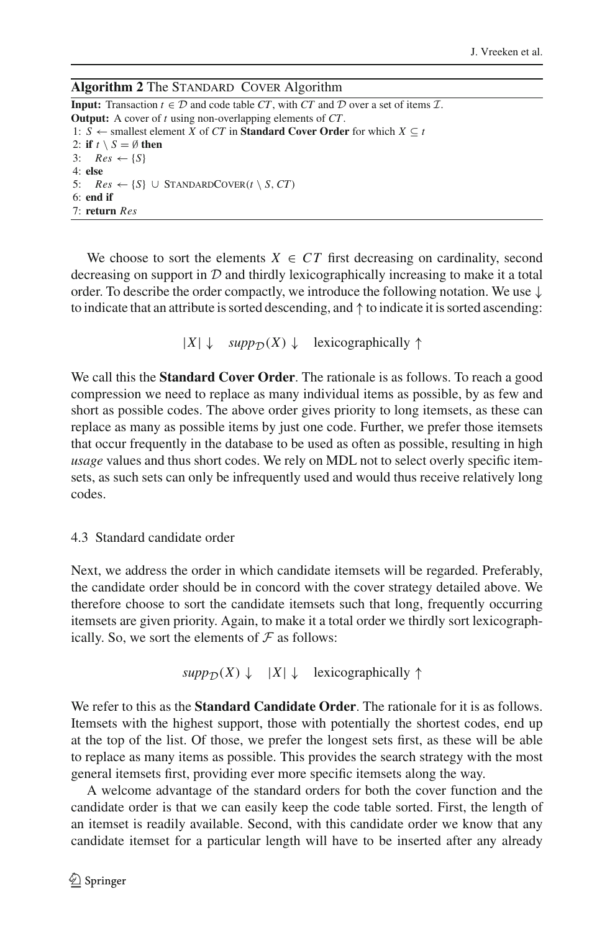# <span id="page-15-0"></span>**Algorithm 2** The Standard Cover Algorithm

**Input:** Transaction  $t \in \mathcal{D}$  and code table *CT*, with *CT* and  $\mathcal{D}$  over a set of items *I*. **Output:** A cover of *t* using non-overlapping elements of *CT*. 1: *S* ← smallest element *X* of *CT* in **Standard Cover Order** for which  $X \subseteq t$ 2: **if**  $t \setminus S = \emptyset$  **then** 3:  $Res \leftarrow \{S\}$ 4: **else** 5:  $Res \leftarrow \{S\}$  ∪ STANDARDCOVER(*t* \ *S*, *CT*) 6: **end if** 7: **return** *Res*

We choose to sort the elements  $X \in \mathbb{C}T$  first decreasing on cardinality, second decreasing on support in *D* and thirdly lexicographically increasing to make it a total order. To describe the order compactly, we introduce the following notation. We use  $\downarrow$ to indicate that an attribute is sorted descending, and ↑ to indicate it is sorted ascending:

 $|X| \downarrow \text{supp}_{\mathcal{D}}(X) \downarrow \text{lexicographically } \uparrow$ 

We call this the **Standard Cover Order**. The rationale is as follows. To reach a good compression we need to replace as many individual items as possible, by as few and short as possible codes. The above order gives priority to long itemsets, as these can replace as many as possible items by just one code. Further, we prefer those itemsets that occur frequently in the database to be used as often as possible, resulting in high *usage* values and thus short codes. We rely on MDL not to select overly specific itemsets, as such sets can only be infrequently used and would thus receive relatively long codes.

4.3 Standard candidate order

Next, we address the order in which candidate itemsets will be regarded. Preferably, the candidate order should be in concord with the cover strategy detailed above. We therefore choose to sort the candidate itemsets such that long, frequently occurring itemsets are given priority. Again, to make it a total order we thirdly sort lexicographically. So, we sort the elements of  $\mathcal F$  as follows:

```
supp_{\mathcal{D}}(X) \downarrow |X| \downarrow lexicographically \uparrow
```
We refer to this as the **Standard Candidate Order**. The rationale for it is as follows. Itemsets with the highest support, those with potentially the shortest codes, end up at the top of the list. Of those, we prefer the longest sets first, as these will be able to replace as many items as possible. This provides the search strategy with the most general itemsets first, providing ever more specific itemsets along the way.

A welcome advantage of the standard orders for both the cover function and the candidate order is that we can easily keep the code table sorted. First, the length of an itemset is readily available. Second, with this candidate order we know that any candidate itemset for a particular length will have to be inserted after any already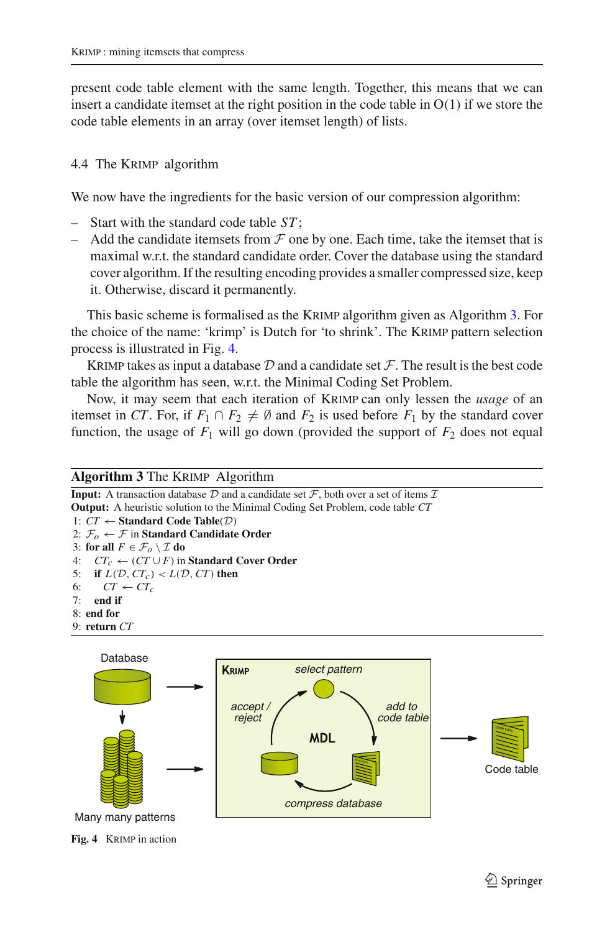present code table element with the same length. Together, this means that we can insert a candidate itemset at the right position in the code table in  $O(1)$  if we store the code table elements in an array (over itemset length) of lists.

# 4.4 The Krimp algorithm

We now have the ingredients for the basic version of our compression algorithm:

- Start with the standard code table *ST* ;
- $-$  Add the candidate itemsets from  $\mathcal F$  one by one. Each time, take the itemset that is maximal w.r.t. the standard candidate order. Cover the database using the standard cover algorithm. If the resulting encoding provides a smaller compressed size, keep it. Otherwise, discard it permanently.

This basic scheme is formalised as the Krimp algorithm given as Algorithm [3.](#page-16-0) For the choice of the name: 'krimp' is Dutch for 'to shrink'. The Krimp pattern selection process is illustrated in Fig. [4.](#page-16-1)

KRIMP takes as input a database  $D$  and a candidate set  $\mathcal F$ . The result is the best code table the algorithm has seen, w.r.t. the Minimal Coding Set Problem.

Now, it may seem that each iteration of Krimp can only lessen the *usage* of an itemset in *CT*. For, if  $F_1 \cap F_2 \neq \emptyset$  and  $F_2$  is used before  $F_1$  by the standard cover function, the usage of  $F_1$  will go down (provided the support of  $F_2$  does not equal

# **Algorithm 3** The Krimp Algorithm

<span id="page-16-0"></span>**Input:** A transaction database  $D$  and a candidate set  $F$ , both over a set of items  $T$ **Output:** A heuristic solution to the Minimal Coding Set Problem, code table *CT* 1: *CT* ← **Standard Code Table**(*D*) 2:  $\mathcal{F}_o \leftarrow \mathcal{F}$  in **Standard Candidate Order** 3: **for all**  $F \in \mathcal{F}_o \setminus \mathcal{I}$  **do** 4: *CT<sub>C</sub>* ← (*CT* ∪ *F*) in **Standard Cover Order**<br>5: **if**  $L(D, CT_c)$  <  $L(D, CT)$  then 5: **if**  $L(D, CT_c) < L(D, CT)$  then<br>6:  $CT \leftarrow CT_c$ 6:  $CT \leftarrow CT_c$ <br>7: end if 7: **end if** 8: **end for** 9: **return** *CT* Database



<span id="page-16-1"></span>**Fig. 4** Krimp in action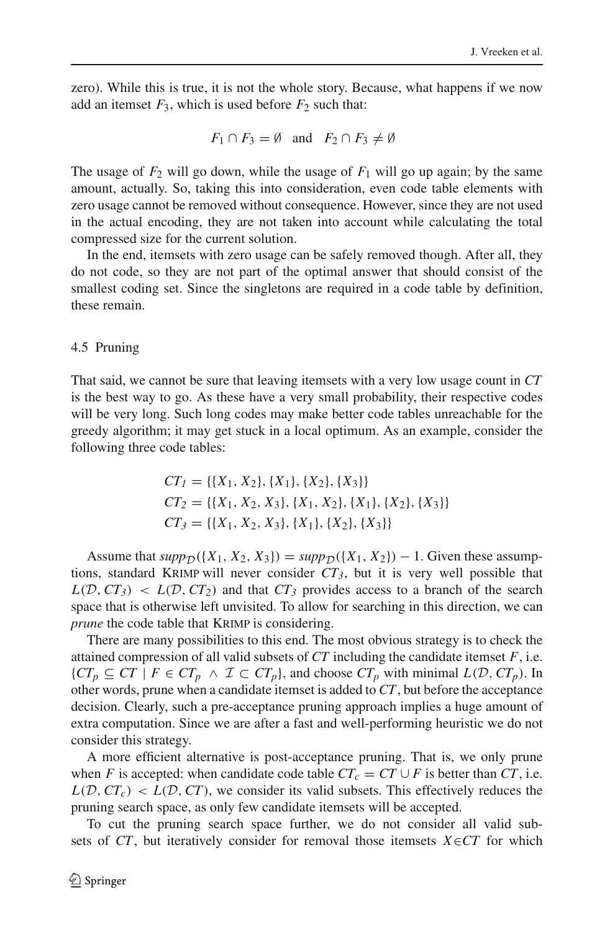zero). While this is true, it is not the whole story. Because, what happens if we now add an itemset  $F_3$ , which is used before  $F_2$  such that:

$$
F_1 \cap F_3 = \emptyset
$$
 and  $F_2 \cap F_3 \neq \emptyset$ 

The usage of  $F_2$  will go down, while the usage of  $F_1$  will go up again; by the same amount, actually. So, taking this into consideration, even code table elements with zero usage cannot be removed without consequence. However, since they are not used in the actual encoding, they are not taken into account while calculating the total compressed size for the current solution.

In the end, itemsets with zero usage can be safely removed though. After all, they do not code, so they are not part of the optimal answer that should consist of the smallest coding set. Since the singletons are required in a code table by definition, these remain.

#### 4.5 Pruning

That said, we cannot be sure that leaving itemsets with a very low usage count in *CT* is the best way to go. As these have a very small probability, their respective codes will be very long. Such long codes may make better code tables unreachable for the greedy algorithm; it may get stuck in a local optimum. As an example, consider the following three code tables:

$$
CT1 = \{\{X1, X2\}, \{X1\}, \{X2\}, \{X3\}\
$$
  
\n
$$
CT2 = \{\{X1, X2, X3\}, \{X1, X2\}, \{X1\}, \{X2\}, \{X3\}\}
$$
  
\n
$$
CT3 = \{\{X1, X2, X3\}, \{X1\}, \{X2\}, \{X3\}\}
$$

Assume that  $supp_{\mathcal{D}}(\lbrace X_1, X_2, X_3 \rbrace) = supp_{\mathcal{D}}(\lbrace X_1, X_2 \rbrace) - 1$ . Given these assumptions, standard KRIMP will never consider  $CT_3$ , but it is very well possible that  $L(\mathcal{D}, \mathcal{CT}_3) < L(\mathcal{D}, \mathcal{CT}_2)$  and that  $\mathcal{CT}_3$  provides access to a branch of the search space that is otherwise left unvisited. To allow for searching in this direction, we can *prune* the code table that KRIMP is considering.

There are many possibilities to this end. The most obvious strategy is to check the attained compression of all valid subsets of *CT* including the candidate itemset *F*, i.e. { $CT_p$  ⊆  $CT$  |  $F \in CT_p$  ∧  $\mathcal{I} \subset CT_p$ }, and choose  $CT_p$  with minimal  $L(\mathcal{D}, CT_p)$ . In other words, prune when a candidate itemset is added to *CT*, but before the acceptance decision. Clearly, such a pre-acceptance pruning approach implies a huge amount of extra computation. Since we are after a fast and well-performing heuristic we do not consider this strategy.

A more efficient alternative is post-acceptance pruning. That is, we only prune when *F* is accepted: when candidate code table  $CT_c = CT \cup F$  is better than *CT*, i.e.  $L(D, CT_c) < L(D, CT)$ , we consider its valid subsets. This effectively reduces the pruning search space, as only few candidate itemsets will be accepted.

To cut the pruning search space further, we do not consider all valid subsets of  $CT$ , but iteratively consider for removal those itemsets  $X \in CT$  for which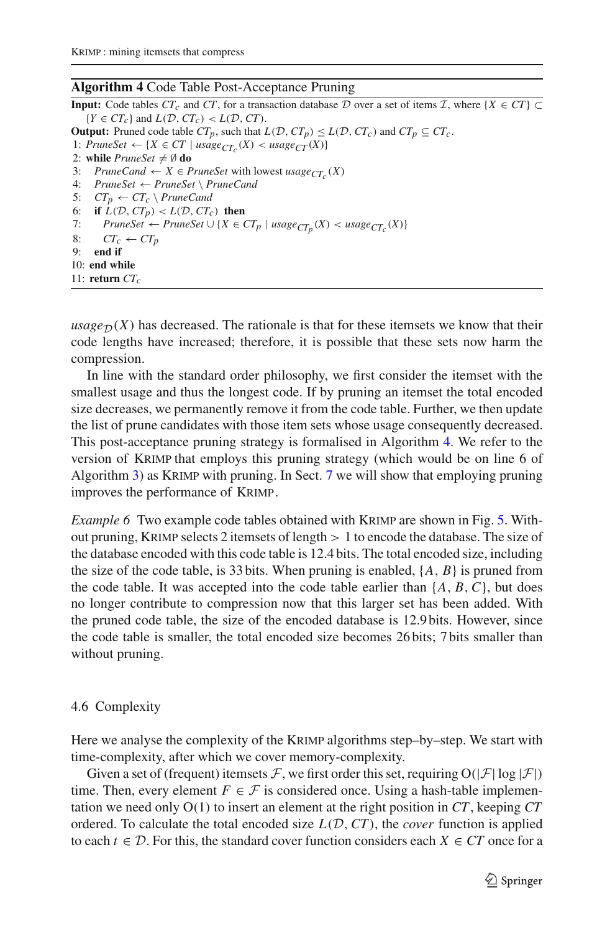### **Algorithm 4** Code Table Post-Acceptance Pruning

<span id="page-18-0"></span>**Input:** Code tables  $CT_c$  and  $CT$ , for a transaction database  $\mathcal D$  over a set of items  $\mathcal I$ , where  $\{X \in CT\} \subset$  ${Y \in CT_c}$  and  $L(D, CT_c) < L(D, CT_c)$ .

**Output:** Pruned code table  $CT_p$ , such that  $L(\mathcal{D}, CT_p) \leq L(\mathcal{D}, CT_c)$  and  $CT_p \subseteq CT_c$ .

1:  $PruneSet \leftarrow \{X \in CT \mid usage_{CT_c}(X) < usage_{CT}(X)\}$ 

```
2: while PruneSet \neq \emptyset do
```

```
3: PruneCand \leftarrow X \in PruneSet with lowest usage_{CT_c}(X)
```

```
4: PruneSet ← PruneSet \ PruneCand
```

```
5: CT_p \leftarrow CT_c \setminus PruneC and
```

```
6: if \dot{L}(\mathcal{D}, C T_p) < L(\mathcal{D}, C T_c) then<br>7: PruneSet \leftarrow PruneSet \cup \{X \in C
```

```
7: PruneSet ← PruneSet \cup {X ∈ CT<sub>p</sub> | usage<sub>CT<sub>p</sub></sub>(X) < usage<sub>CT<sub>c</sub></sub>(X)}<br>8: CT<sub>c</sub> ← CT<sub>n</sub>
```

```
8: CT_c \leftarrow CT_p<br>9: end if
```

```
9: end if
```

```
10: end while
11: return CT_c
```
 $usage_{\mathcal{D}}(X)$  has decreased. The rationale is that for these itemsets we know that their code lengths have increased; therefore, it is possible that these sets now harm the compression.

In line with the standard order philosophy, we first consider the itemset with the smallest usage and thus the longest code. If by pruning an itemset the total encoded size decreases, we permanently remove it from the code table. Further, we then update the list of prune candidates with those item sets whose usage consequently decreased. This post-acceptance pruning strategy is formalised in Algorithm [4.](#page-18-0) We refer to the version of Krimp that employs this pruning strategy (which would be on line 6 of Algorithm [3\)](#page-16-0) as Krimp with pruning. In Sect. [7](#page-23-0) we will show that employing pruning improves the performance of Krimp.

*Example 6* Two example code tables obtained with KRIMP are shown in Fig. [5.](#page-19-0) Without pruning, KRIMP selects 2 itemsets of length  $> 1$  to encode the database. The size of the database encoded with this code table is 12.4 bits. The total encoded size, including the size of the code table, is 33 bits. When pruning is enabled,  $\{A, B\}$  is pruned from the code table. It was accepted into the code table earlier than  $\{A, B, C\}$ , but does no longer contribute to compression now that this larger set has been added. With the pruned code table, the size of the encoded database is 12.9 bits. However, since the code table is smaller, the total encoded size becomes 26 bits; 7 bits smaller than without pruning.

# 4.6 Complexity

Here we analyse the complexity of the Krimp algorithms step–by–step. We start with time-complexity, after which we cover memory-complexity.

Given a set of (frequent) itemsets  $\mathcal F$ , we first order this set, requiring  $O(|\mathcal F| \log |\mathcal F|)$ time. Then, every element  $F \in \mathcal{F}$  is considered once. Using a hash-table implementation we need only O(1) to insert an element at the right position in *CT*, keeping *CT* ordered. To calculate the total encoded size *L*(*D*,*CT*), the *cover* function is applied to each  $t \in \mathcal{D}$ . For this, the standard cover function considers each  $X \in \mathbb{C}$  once for a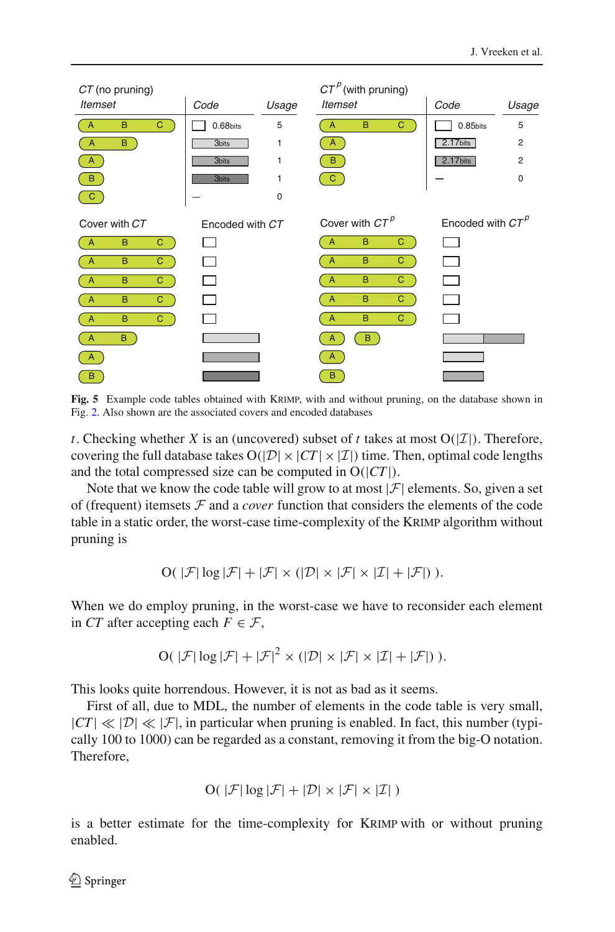

<span id="page-19-0"></span>**Fig. 5** Example code tables obtained with Krimp, with and without pruning, on the database shown in Fig. [2.](#page-7-0) Also shown are the associated covers and encoded databases

*t*. Checking whether *X* is an (uncovered) subset of *t* takes at most  $O(|\mathcal{I}|)$ . Therefore, covering the full database takes  $O(|\mathcal{D}| \times |CT| \times |\mathcal{I}|)$  time. Then, optimal code lengths and the total compressed size can be computed in O(|*CT*|).

Note that we know the code table will grow to at most  $|\mathcal{F}|$  elements. So, given a set of (frequent) itemsets  $F$  and a *cover* function that considers the elements of the code table in a static order, the worst-case time-complexity of the Krimp algorithm without pruning is

$$
O(|\mathcal{F}| \log |\mathcal{F}| + |\mathcal{F}| \times (|\mathcal{D}| \times |\mathcal{F}| \times |\mathcal{I}| + |\mathcal{F}|)).
$$

When we do employ pruning, in the worst-case we have to reconsider each element in *CT* after accepting each  $F \in \mathcal{F}$ ,

$$
O(|\mathcal{F}| \log |\mathcal{F}| + |\mathcal{F}|^2 \times (|\mathcal{D}| \times |\mathcal{F}| \times |\mathcal{I}| + |\mathcal{F}|)).
$$

This looks quite horrendous. However, it is not as bad as it seems.

First of all, due to MDL, the number of elements in the code table is very small,  $|CT| \ll |\mathcal{D}| \ll |\mathcal{F}|$ , in particular when pruning is enabled. In fact, this number (typically 100 to 1000) can be regarded as a constant, removing it from the big-O notation. Therefore,

$$
O(|\mathcal{F}| \log |\mathcal{F}| + |\mathcal{D}| \times |\mathcal{F}| \times |\mathcal{I}|)
$$

is a better estimate for the time-complexity for Krimp with or without pruning enabled.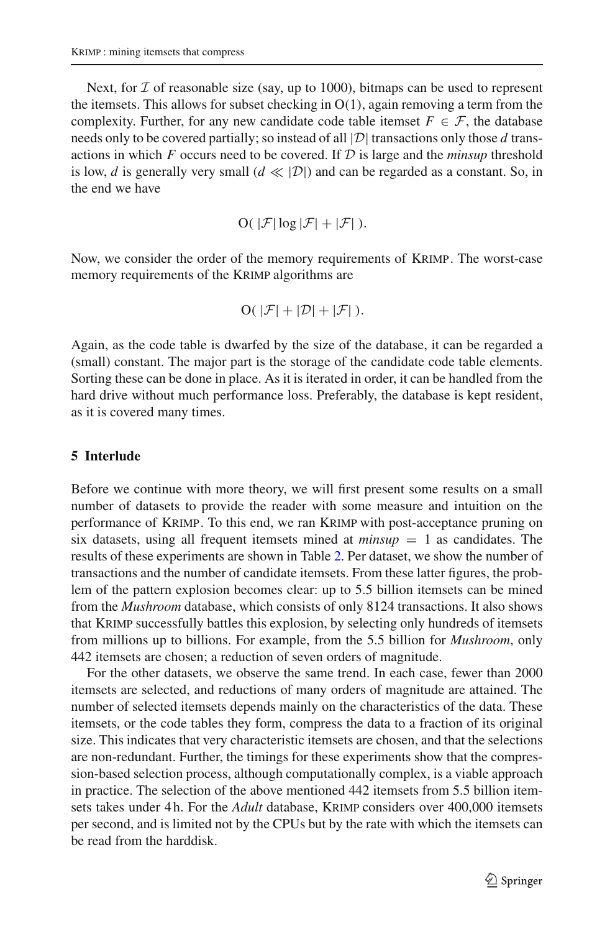Next, for *I* of reasonable size (say, up to 1000), bitmaps can be used to represent the itemsets. This allows for subset checking in  $O(1)$ , again removing a term from the complexity. Further, for any new candidate code table itemset  $F \in \mathcal{F}$ , the database needs only to be covered partially; so instead of all |*D*| transactions only those *d* transactions in which *F* occurs need to be covered. If *D* is large and the *minsup* threshold is low, *d* is generally very small  $(d \ll |\mathcal{D}|)$  and can be regarded as a constant. So, in the end we have

$$
O(|\mathcal{F}| \log |\mathcal{F}| + |\mathcal{F}|).
$$

Now, we consider the order of the memory requirements of Krimp. The worst-case memory requirements of the Krimp algorithms are

$$
O(|\mathcal{F}|+|\mathcal{D}|+|\mathcal{F}|).
$$

Again, as the code table is dwarfed by the size of the database, it can be regarded a (small) constant. The major part is the storage of the candidate code table elements. Sorting these can be done in place. As it is iterated in order, it can be handled from the hard drive without much performance loss. Preferably, the database is kept resident, as it is covered many times.

### **5 Interlude**

Before we continue with more theory, we will first present some results on a small number of datasets to provide the reader with some measure and intuition on the performance of Krimp. To this end, we ran Krimp with post-acceptance pruning on six datasets, using all frequent itemsets mined at  $minsup = 1$  as candidates. The results of these experiments are shown in Table [2.](#page-21-1) Per dataset, we show the number of transactions and the number of candidate itemsets. From these latter figures, the problem of the pattern explosion becomes clear: up to 5.5 billion itemsets can be mined from the *Mushroom* database, which consists of only 8124 transactions. It also shows that Krimp successfully battles this explosion, by selecting only hundreds of itemsets from millions up to billions. For example, from the 5.5 billion for *Mushroom*, only 442 itemsets are chosen; a reduction of seven orders of magnitude.

For the other datasets, we observe the same trend. In each case, fewer than 2000 itemsets are selected, and reductions of many orders of magnitude are attained. The number of selected itemsets depends mainly on the characteristics of the data. These itemsets, or the code tables they form, compress the data to a fraction of its original size. This indicates that very characteristic itemsets are chosen, and that the selections are non-redundant. Further, the timings for these experiments show that the compression-based selection process, although computationally complex, is a viable approach in practice. The selection of the above mentioned 442 itemsets from 5.5 billion itemsets takes under 4 h. For the *Adult* database, Krimp considers over 400,000 itemsets per second, and is limited not by the CPUs but by the rate with which the itemsets can be read from the harddisk.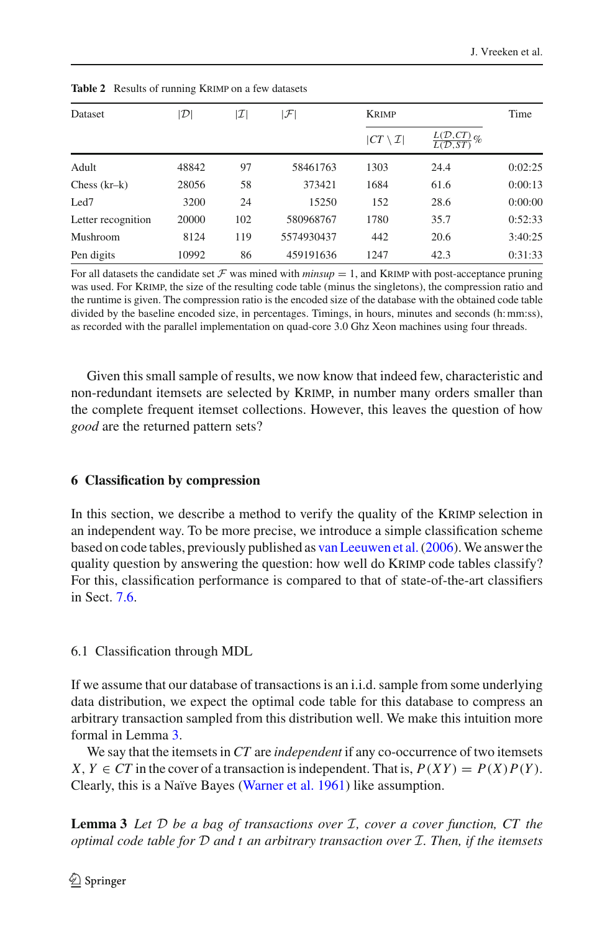| Dataset            | $ \mathcal{D} $ | $ \mathcal{I} $ | $ \mathcal{F} $ | <b>KRIMP</b>                 |                            | Time    |
|--------------------|-----------------|-----------------|-----------------|------------------------------|----------------------------|---------|
|                    |                 |                 |                 | $ CT \setminus \mathcal{I} $ | L(D,CT)<br>$\%$<br>L(D,ST) |         |
| Adult              | 48842           | 97              | 58461763        | 1303                         | 24.4                       | 0:02:25 |
| Chess $(kr-k)$     | 28056           | 58              | 373421          | 1684                         | 61.6                       | 0:00:13 |
| Led7               | 3200            | 24              | 15250           | 152                          | 28.6                       | 0:00:00 |
| Letter recognition | 20000           | 102             | 580968767       | 1780                         | 35.7                       | 0:52:33 |
| Mushroom           | 8124            | 119             | 5574930437      | 442                          | 20.6                       | 3:40:25 |
| Pen digits         | 10992           | 86              | 459191636       | 1247                         | 42.3                       | 0:31:33 |

<span id="page-21-1"></span>Table 2 Results of running KRIMP on a few datasets

For all datasets the candidate set  $\mathcal F$  was mined with *minsup* = 1, and KRIMP with post-acceptance pruning was used. For Krimp, the size of the resulting code table (minus the singletons), the compression ratio and the runtime is given. The compression ratio is the encoded size of the database with the obtained code table divided by the baseline encoded size, in percentages. Timings, in hours, minutes and seconds (h: mm:ss), as recorded with the parallel implementation on quad-core 3.0 Ghz Xeon machines using four threads.

Given this small sample of results, we now know that indeed few, characteristic and non-redundant itemsets are selected by Krimp, in number many orders smaller than the complete frequent itemset collections. However, this leaves the question of how *good* are the returned pattern sets?

# <span id="page-21-0"></span>**6 Classification by compression**

In this section, we describe a method to verify the quality of the Krimp selection in an independent way. To be more precise, we introduce a simple classification scheme based on code tables, previously published as [van Leeuwen et al.\(2006](#page-45-0)).We answer the quality question by answering the question: how well do Krimp code tables classify? For this, classification performance is compared to that of state-of-the-art classifiers in Sect. [7.6.](#page-33-0)

# 6.1 Classification through MDL

If we assume that our database of transactions is an i.i.d. sample from some underlying data distribution, we expect the optimal code table for this database to compress an arbitrary transaction sampled from this distribution well. We make this intuition more formal in Lemma [3.](#page-21-2)

We say that the itemsets in *CT* are *independent* if any co-occurrence of two itemsets  $X, Y \in \mathbb{C}$  *T* in the cover of a transaction is independent. That is,  $P(XY) = P(X)P(Y)$ . Clearly, this is a Naïve Bayes [\(Warner et al. 1961\)](#page-45-7) like assumption.

<span id="page-21-2"></span>**Lemma 3** *Let D be a bag of transactions over I, cover a cover function, CT the optimal code table for D and t an arbitrary transaction over I. Then, if the itemsets*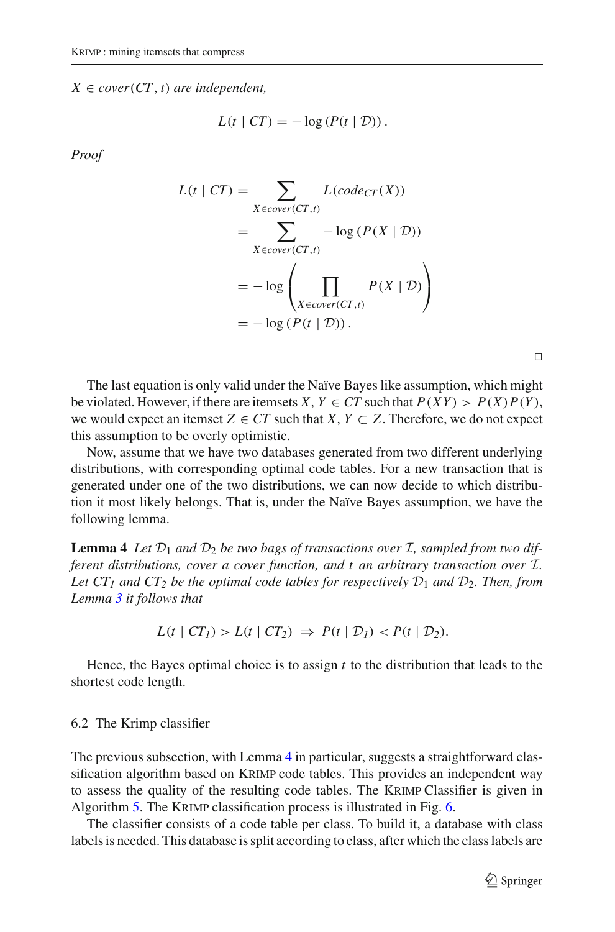$X \in cover(CT, t)$  *are independent,* 

$$
L(t \mid CT) = -\log (P(t \mid \mathcal{D})).
$$

*Proof*

$$
L(t \mid CT) = \sum_{X \in cover(CT, t)} L(code_{CT}(X))
$$
  
= 
$$
\sum_{X \in cover(CT, t)} -log(P(X \mid \mathcal{D}))
$$
  
= 
$$
-log \left( \prod_{X \in cover(CT, t)} P(X \mid \mathcal{D}) \right)
$$
  
= 
$$
-log(P(t \mid \mathcal{D})).
$$

 $\Box$ 

The last equation is only valid under the Naïve Bayes like assumption, which might be violated. However, if there are itemsets *X*,  $Y \in CT$  such that  $P(XY) > P(X)P(Y)$ , we would expect an itemset  $Z \in \mathbb{C}T$  such that  $X, Y \subset Z$ . Therefore, we do not expect this assumption to be overly optimistic.

Now, assume that we have two databases generated from two different underlying distributions, with corresponding optimal code tables. For a new transaction that is generated under one of the two distributions, we can now decide to which distribution it most likely belongs. That is, under the Naïve Bayes assumption, we have the following lemma.

<span id="page-22-0"></span>**Lemma 4** Let  $\mathcal{D}_1$  and  $\mathcal{D}_2$  be two bags of transactions over  $\mathcal{I}$ , sampled from two dif*ferent distributions, cover a cover function, and t an arbitrary transaction over I.* Let  $CT_1$  and  $CT_2$  be the optimal code tables for respectively  $D_1$  and  $D_2$ . Then, from *Lemma [3](#page-21-2) it follows that*

 $L(t | CT_1) > L(t | CT_2) \Rightarrow P(t | D_1) < P(t | D_2).$ 

Hence, the Bayes optimal choice is to assign *t* to the distribution that leads to the shortest code length.

#### <span id="page-22-1"></span>6.2 The Krimp classifier

The previous subsection, with Lemma [4](#page-22-0) in particular, suggests a straightforward classification algorithm based on Krimp code tables. This provides an independent way to assess the quality of the resulting code tables. The Krimp Classifier is given in Algorithm [5.](#page-23-1) The Krimp classification process is illustrated in Fig. [6.](#page-23-2)

The classifier consists of a code table per class. To build it, a database with class labels is needed. This database is split according to class, after which the class labels are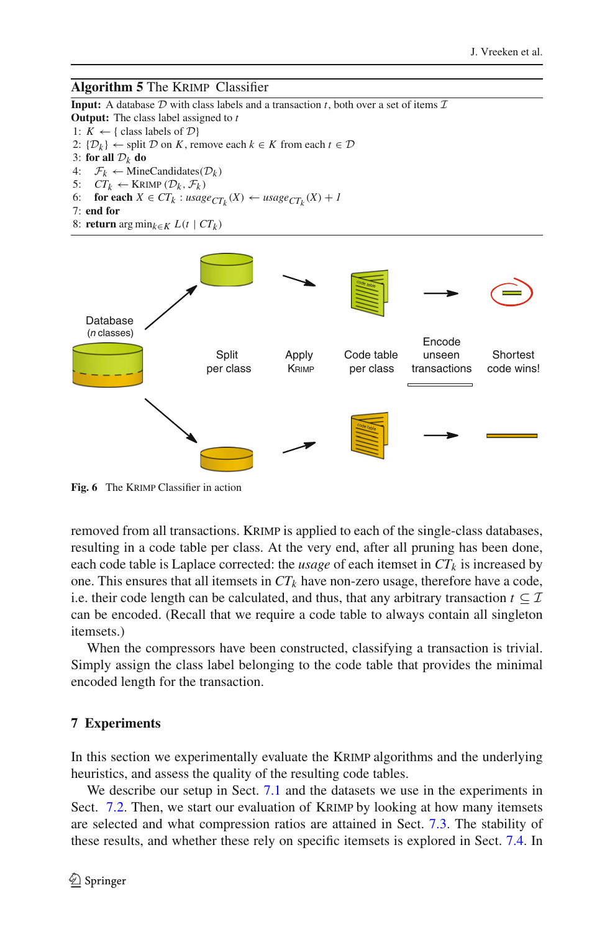### **Algorithm 5** The Krimp Classifier

<span id="page-23-1"></span>**Input:** A database  $\mathcal{D}$  with class labels and a transaction *t*, both over a set of items  $\mathcal{I}$ 

- **Output:** The class label assigned to *t*
- 1:  $K \leftarrow \{ \text{class labels of } \mathcal{D} \}$
- 2:  $\{\mathcal{D}_k\} \leftarrow \text{split } \mathcal{D}$  on *K*, remove each  $k \in K$  from each  $t \in \mathcal{D}$
- 3: **for all**  $\mathcal{D}_k$  **do**<br>4:  $\mathcal{F}_k \leftarrow$  Mino
- 4:  $\mathcal{F}_k \leftarrow \text{MineCandidates}(\mathcal{D}_k)$ <br>5:  $CT_k \leftarrow \text{KRMP}(\mathcal{D}_k, \mathcal{F}_k)$
- $CT_k \leftarrow$  KRIMP  $(\mathcal{D}_k, \mathcal{F}_k)$
- 6: **for each**  $X \in CT_k : usage_{CT_k}(X) \leftarrow usage_{CT_k}(X) + 1$
- 7: **end for**
- 8: **return** arg min<sub> $k∈K L(t | CT<sub>k</sub>)$ </sub>



<span id="page-23-2"></span>**Fig. 6** The Krimp Classifier in action

removed from all transactions. Krimp is applied to each of the single-class databases, resulting in a code table per class. At the very end, after all pruning has been done, each code table is Laplace corrected: the *usage* of each itemset in  $CT_k$  is increased by one. This ensures that all itemsets in  $CT_k$  have non-zero usage, therefore have a code, i.e. their code length can be calculated, and thus, that any arbitrary transaction  $t \subseteq \mathcal{I}$ can be encoded. (Recall that we require a code table to always contain all singleton itemsets.)

When the compressors have been constructed, classifying a transaction is trivial. Simply assign the class label belonging to the code table that provides the minimal encoded length for the transaction.

### <span id="page-23-0"></span>**7 Experiments**

In this section we experimentally evaluate the Krimp algorithms and the underlying heuristics, and assess the quality of the resulting code tables.

We describe our setup in Sect. [7.1](#page-24-0) and the datasets we use in the experiments in Sect. [7.2.](#page-24-1) Then, we start our evaluation of KRIMP by looking at how many itemsets are selected and what compression ratios are attained in Sect. [7.3.](#page-25-0) The stability of these results, and whether these rely on specific itemsets is explored in Sect. [7.4.](#page-29-0) In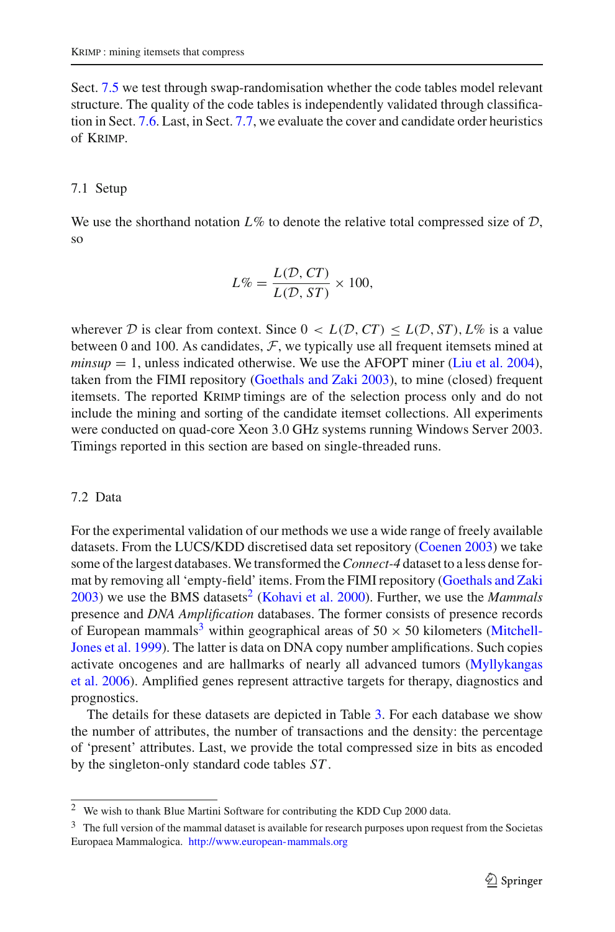Sect. [7.5](#page-31-0) we test through swap-randomisation whether the code tables model relevant structure. The quality of the code tables is independently validated through classification in Sect. [7.6.](#page-33-0) Last, in Sect. [7.7,](#page-37-0) we evaluate the cover and candidate order heuristics of Krimp.

# <span id="page-24-0"></span>7.1 Setup

We use the shorthand notation  $L\%$  to denote the relative total compressed size of  $D$ , so

$$
L\% = \frac{L(D, CT)}{L(D, ST)} \times 100,
$$

wherever *D* is clear from context. Since  $0 < L(D, CT) < L(D, ST)$ ,  $L\%$  is a value between 0 and 100. As candidates,  $\mathcal{F}$ , we typically use all frequent itemsets mined at  $minsup = 1$ , unless indicated otherwise. We use the AFOPT miner [\(Liu et al. 2004](#page-44-21)), taken from the FIMI repository [\(Goethals and Zaki 2003](#page-43-1)), to mine (closed) frequent itemsets. The reported Krimp timings are of the selection process only and do not include the mining and sorting of the candidate itemset collections. All experiments were conducted on quad-core Xeon 3.0 GHz systems running Windows Server 2003. Timings reported in this section are based on single-threaded runs.

# <span id="page-24-1"></span>7.2 Data

For the experimental validation of our methods we use a wide range of freely available datasets. From the LUCS/KDD discretised data set repository [\(Coenen 2003](#page-43-12)) we take some of the largest databases.We transformed the*Connect-4* dataset to a less dense format by removing all 'empty-field' items. From the FIMI repository [\(Goethals and Zaki](#page-43-1) [2003\)](#page-43-1) we use the BMS datasets<sup>2</sup> [\(Kohavi et al. 2000](#page-44-22)). Further, we use the *Mammals* presence and *DNA Amplification* databases. The former consists of presence records of European mammals<sup>3</sup> within geographical areas of  $50 \times 50$  kilometers (Mitchell-Jones et al. [1999\)](#page-44-23). The latter is data on DNA copy number amplifications. Such copies acti[vate oncogenes and are hallmarks of nearly all advanced tumors \(](#page-44-24)Myllykangas et al. [2006\)](#page-44-24). Amplified genes represent attractive targets for therapy, diagnostics and prognostics.

The details for these datasets are depicted in Table [3.](#page-25-1) For each database we show the number of attributes, the number of transactions and the density: the percentage of 'present' attributes. Last, we provide the total compressed size in bits as encoded by the singleton-only standard code tables *ST* .

<sup>2</sup> We wish to thank Blue Martini Software for contributing the KDD Cup 2000 data.

<span id="page-24-3"></span><span id="page-24-2"></span><sup>&</sup>lt;sup>3</sup> The full version of the mammal dataset is available for research purposes upon request from the Societas Europaea Mammalogica. <http://www.european-mammals.org>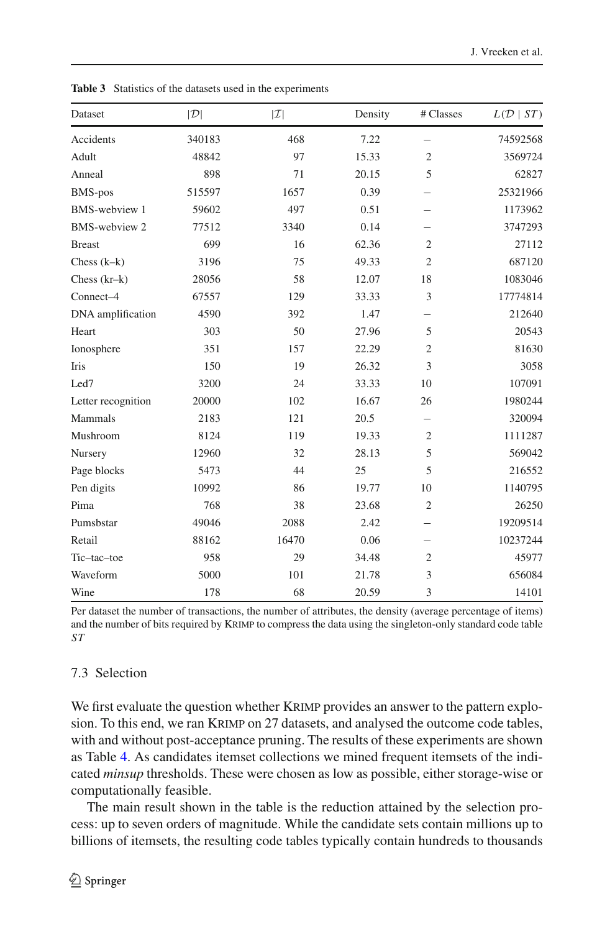| Dataset              | $ \mathcal{D} $ | $ \mathcal{I} $ | Density | # Classes      | L(D ST)  |
|----------------------|-----------------|-----------------|---------|----------------|----------|
| Accidents            | 340183          | 468             | 7.22    |                | 74592568 |
| Adult                | 48842           | 97              | 15.33   | $\overline{2}$ | 3569724  |
| Anneal               | 898             | 71              | 20.15   | 5              | 62827    |
| BMS-pos              | 515597          | 1657            | 0.39    |                | 25321966 |
| <b>BMS-webview 1</b> | 59602           | 497             | 0.51    |                | 1173962  |
| <b>BMS-webview 2</b> | 77512           | 3340            | 0.14    |                | 3747293  |
| <b>Breast</b>        | 699             | 16              | 62.36   | $\overline{2}$ | 27112    |
| Chess $(k-k)$        | 3196            | 75              | 49.33   | $\overline{2}$ | 687120   |
| Chess $(kr-k)$       | 28056           | 58              | 12.07   | 18             | 1083046  |
| Connect-4            | 67557           | 129             | 33.33   | 3              | 17774814 |
| DNA amplification    | 4590            | 392             | 1.47    | -              | 212640   |
| Heart                | 303             | 50              | 27.96   | 5              | 20543    |
| Ionosphere           | 351             | 157             | 22.29   | $\mathfrak{2}$ | 81630    |
| Iris                 | 150             | 19              | 26.32   | 3              | 3058     |
| Led7                 | 3200            | 24              | 33.33   | 10             | 107091   |
| Letter recognition   | 20000           | 102             | 16.67   | 26             | 1980244  |
| Mammals              | 2183            | 121             | 20.5    |                | 320094   |
| Mushroom             | 8124            | 119             | 19.33   | $\mathfrak{2}$ | 1111287  |
| Nursery              | 12960           | 32              | 28.13   | 5              | 569042   |
| Page blocks          | 5473            | 44              | 25      | 5              | 216552   |
| Pen digits           | 10992           | 86              | 19.77   | 10             | 1140795  |
| Pima                 | 768             | 38              | 23.68   | $\overline{2}$ | 26250    |
| Pumsbstar            | 49046           | 2088            | 2.42    |                | 19209514 |
| Retail               | 88162           | 16470           | 0.06    |                | 10237244 |
| Tic-tac-toe          | 958             | 29              | 34.48   | $\overline{2}$ | 45977    |
| Waveform             | 5000            | 101             | 21.78   | 3              | 656084   |
| Wine                 | 178             | 68              | 20.59   | 3              | 14101    |

<span id="page-25-1"></span>**Table 3** Statistics of the datasets used in the experiments

Per dataset the number of transactions, the number of attributes, the density (average percentage of items) and the number of bits required by Krimp to compress the data using the singleton-only standard code table *ST*

# <span id="page-25-0"></span>7.3 Selection

We first evaluate the question whether KRIMP provides an answer to the pattern explosion. To this end, we ran Krimp on 27 datasets, and analysed the outcome code tables, with and without post-acceptance pruning. The results of these experiments are shown as Table [4.](#page-26-0) As candidates itemset collections we mined frequent itemsets of the indicated *minsup* thresholds. These were chosen as low as possible, either storage-wise or computationally feasible.

The main result shown in the table is the reduction attained by the selection process: up to seven orders of magnitude. While the candidate sets contain millions up to billions of itemsets, the resulting code tables typically contain hundreds to thousands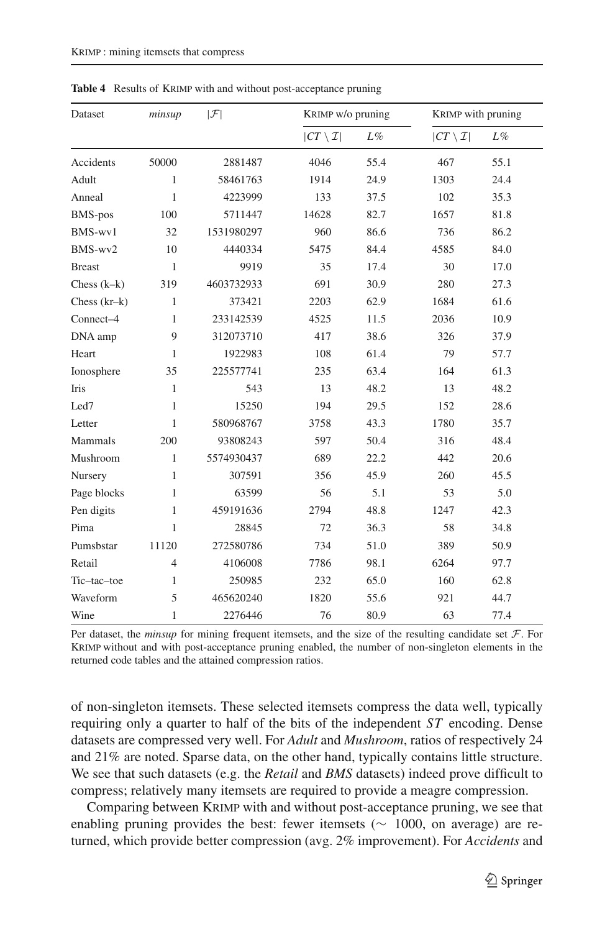| Dataset        | minsup         | $ \mathcal{F} $ | KRIMP w/o pruning            |       |                              | KRIMP with pruning |  |  |
|----------------|----------------|-----------------|------------------------------|-------|------------------------------|--------------------|--|--|
|                |                |                 | $ CT \setminus \mathcal{I} $ | $L\%$ | $ CT \setminus \mathcal{I} $ | $L\%$              |  |  |
| Accidents      | 50000          | 2881487         | 4046                         | 55.4  | 467                          | 55.1               |  |  |
| Adult          | 1              | 58461763        | 1914                         | 24.9  | 1303                         | 24.4               |  |  |
| Anneal         | 1              | 4223999         | 133                          | 37.5  | 102                          | 35.3               |  |  |
| BMS-pos        | 100            | 5711447         | 14628                        | 82.7  | 1657                         | 81.8               |  |  |
| BMS-wv1        | 32             | 1531980297      | 960                          | 86.6  | 736                          | 86.2               |  |  |
| BMS-wv2        | 10             | 4440334         | 5475                         | 84.4  | 4585                         | 84.0               |  |  |
| <b>Breast</b>  | 1              | 9919            | 35                           | 17.4  | 30                           | 17.0               |  |  |
| Chess $(k-k)$  | 319            | 4603732933      | 691                          | 30.9  | 280                          | 27.3               |  |  |
| Chess $(kr-k)$ | $\mathbf{1}$   | 373421          | 2203                         | 62.9  | 1684                         | 61.6               |  |  |
| Connect-4      | 1              | 233142539       | 4525                         | 11.5  | 2036                         | 10.9               |  |  |
| DNA amp        | 9              | 312073710       | 417                          | 38.6  | 326                          | 37.9               |  |  |
| Heart          | 1              | 1922983         | 108                          | 61.4  | 79                           | 57.7               |  |  |
| Ionosphere     | 35             | 225577741       | 235                          | 63.4  | 164                          | 61.3               |  |  |
| Iris           | 1              | 543             | 13                           | 48.2  | 13                           | 48.2               |  |  |
| Led7           | 1              | 15250           | 194                          | 29.5  | 152                          | 28.6               |  |  |
| Letter         | $\mathbf{1}$   | 580968767       | 3758                         | 43.3  | 1780                         | 35.7               |  |  |
| Mammals        | 200            | 93808243        | 597                          | 50.4  | 316                          | 48.4               |  |  |
| Mushroom       | 1              | 5574930437      | 689                          | 22.2  | 442                          | 20.6               |  |  |
| Nursery        | $\mathbf{1}$   | 307591          | 356                          | 45.9  | 260                          | 45.5               |  |  |
| Page blocks    | $\mathbf{1}$   | 63599           | 56                           | 5.1   | 53                           | 5.0                |  |  |
| Pen digits     | $\mathbf{1}$   | 459191636       | 2794                         | 48.8  | 1247                         | 42.3               |  |  |
| Pima           | $\mathbf{1}$   | 28845           | 72                           | 36.3  | 58                           | 34.8               |  |  |
| Pumsbstar      | 11120          | 272580786       | 734                          | 51.0  | 389                          | 50.9               |  |  |
| Retail         | $\overline{4}$ | 4106008         | 7786                         | 98.1  | 6264                         | 97.7               |  |  |
| Tic-tac-toe    | 1              | 250985          | 232                          | 65.0  | 160                          | 62.8               |  |  |
| Waveform       | 5              | 465620240       | 1820                         | 55.6  | 921                          | 44.7               |  |  |
| Wine           | $\mathbf{1}$   | 2276446         | 76                           | 80.9  | 63                           | 77.4               |  |  |

<span id="page-26-0"></span>**Table 4** Results of Krimp with and without post-acceptance pruning

Per dataset, the *minsup* for mining frequent itemsets, and the size of the resulting candidate set *F*. For Krimp without and with post-acceptance pruning enabled, the number of non-singleton elements in the returned code tables and the attained compression ratios.

of non-singleton itemsets. These selected itemsets compress the data well, typically requiring only a quarter to half of the bits of the independent *ST* encoding. Dense datasets are compressed very well. For *Adult* and *Mushroom*, ratios of respectively 24 and 21% are noted. Sparse data, on the other hand, typically contains little structure. We see that such datasets (e.g. the *Retail* and *BMS* datasets) indeed prove difficult to compress; relatively many itemsets are required to provide a meagre compression.

Comparing between Krimp with and without post-acceptance pruning, we see that enabling pruning provides the best: fewer itemsets (∼ 1000, on average) are returned, which provide better compression (avg. 2% improvement). For *Accidents* and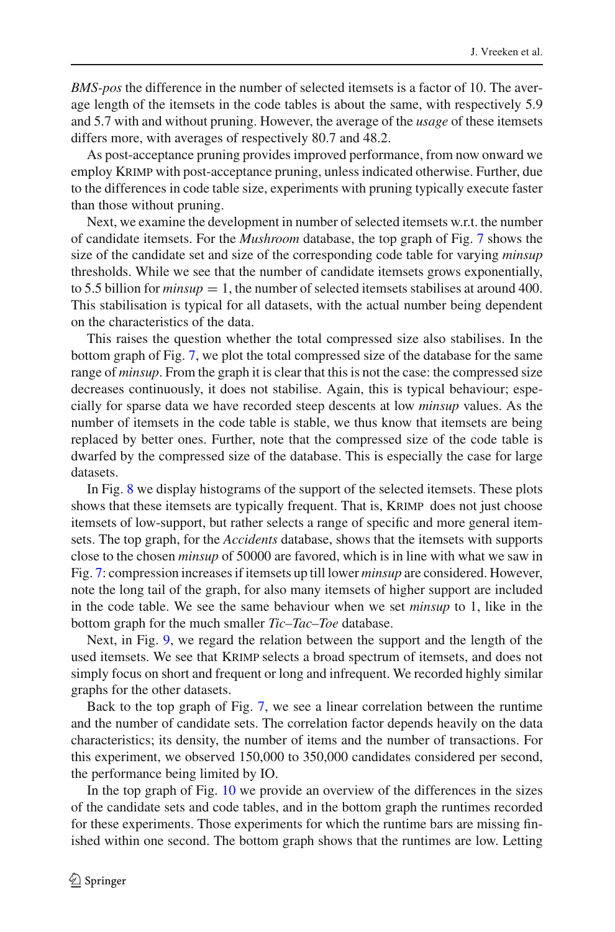*BMS-pos* the difference in the number of selected itemsets is a factor of 10. The average length of the itemsets in the code tables is about the same, with respectively 5.9 and 5.7 with and without pruning. However, the average of the *usage* of these itemsets differs more, with averages of respectively 80.7 and 48.2.

As post-acceptance pruning provides improved performance, from now onward we employ Krimp with post-acceptance pruning, unless indicated otherwise. Further, due to the differences in code table size, experiments with pruning typically execute faster than those without pruning.

Next, we examine the development in number of selected itemsets w.r.t. the number of candidate itemsets. For the *Mushroom* database, the top graph of Fig. [7](#page-28-0) shows the size of the candidate set and size of the corresponding code table for varying *minsup* thresholds. While we see that the number of candidate itemsets grows exponentially, to 5.5 billion for *minsup* = 1, the number of selected itemsets stabilises at around 400. This stabilisation is typical for all datasets, with the actual number being dependent on the characteristics of the data.

This raises the question whether the total compressed size also stabilises. In the bottom graph of Fig. [7,](#page-28-0) we plot the total compressed size of the database for the same range of *minsup*. From the graph it is clear that this is not the case: the compressed size decreases continuously, it does not stabilise. Again, this is typical behaviour; especially for sparse data we have recorded steep descents at low *minsup* values. As the number of itemsets in the code table is stable, we thus know that itemsets are being replaced by better ones. Further, note that the compressed size of the code table is dwarfed by the compressed size of the database. This is especially the case for large datasets.

In Fig. [8](#page-29-1) we display histograms of the support of the selected itemsets. These plots shows that these itemsets are typically frequent. That is, Krimp does not just choose itemsets of low-support, but rather selects a range of specific and more general itemsets. The top graph, for the *Accidents* database, shows that the itemsets with supports close to the chosen *minsup* of 50000 are favored, which is in line with what we saw in Fig. [7:](#page-28-0) compression increases if itemsets up till lower *minsup* are considered. However, note the long tail of the graph, for also many itemsets of higher support are included in the code table. We see the same behaviour when we set *minsup* to 1, like in the bottom graph for the much smaller *Tic–Tac–Toe* database.

Next, in Fig. [9,](#page-29-2) we regard the relation between the support and the length of the used itemsets. We see that Krimp selects a broad spectrum of itemsets, and does not simply focus on short and frequent or long and infrequent. We recorded highly similar graphs for the other datasets.

Back to the top graph of Fig. [7,](#page-28-0) we see a linear correlation between the runtime and the number of candidate sets. The correlation factor depends heavily on the data characteristics; its density, the number of items and the number of transactions. For this experiment, we observed 150,000 to 350,000 candidates considered per second, the performance being limited by IO.

In the top graph of Fig. [10](#page-30-0) we provide an overview of the differences in the sizes of the candidate sets and code tables, and in the bottom graph the runtimes recorded for these experiments. Those experiments for which the runtime bars are missing finished within one second. The bottom graph shows that the runtimes are low. Letting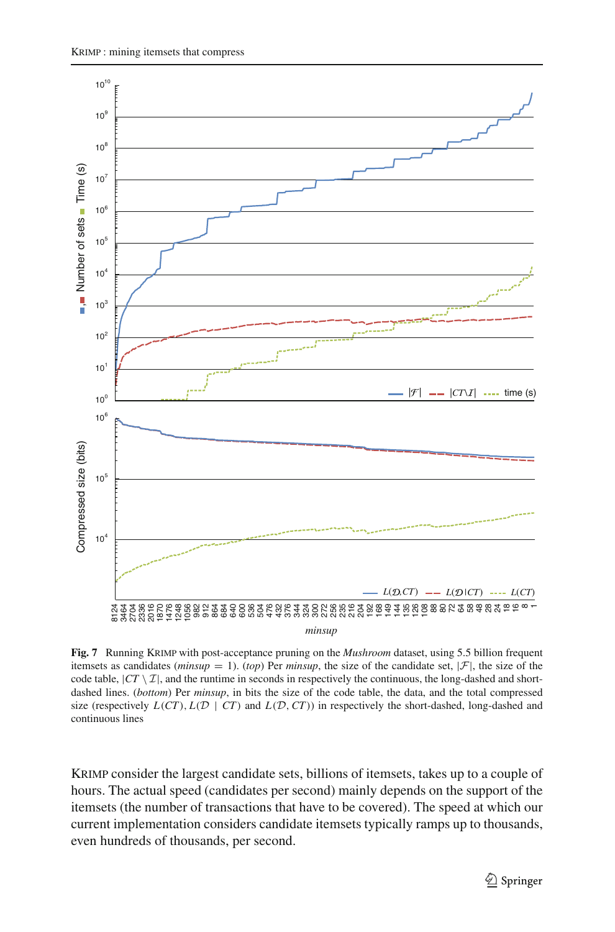

<span id="page-28-0"></span>Fig. 7 Running KRIMP with post-acceptance pruning on the *Mushroom* dataset, using 5.5 billion frequent itemsets as candidates ( $minsup = 1$ ). (*top*) Per  $minsup$ , the size of the candidate set,  $|\mathcal{F}|$ , the size of the code table,  $|CT \setminus \mathcal{I}|$ , and the runtime in seconds in respectively the continuous, the long-dashed and shortdashed lines. (*bottom*) Per *minsup*, in bits the size of the code table, the data, and the total compressed size (respectively  $L(CT)$ ,  $L(D | CT)$  and  $L(D, CT)$ ) in respectively the short-dashed, long-dashed and continuous lines

Krimp consider the largest candidate sets, billions of itemsets, takes up to a couple of hours. The actual speed (candidates per second) mainly depends on the support of the itemsets (the number of transactions that have to be covered). The speed at which our current implementation considers candidate itemsets typically ramps up to thousands, even hundreds of thousands, per second.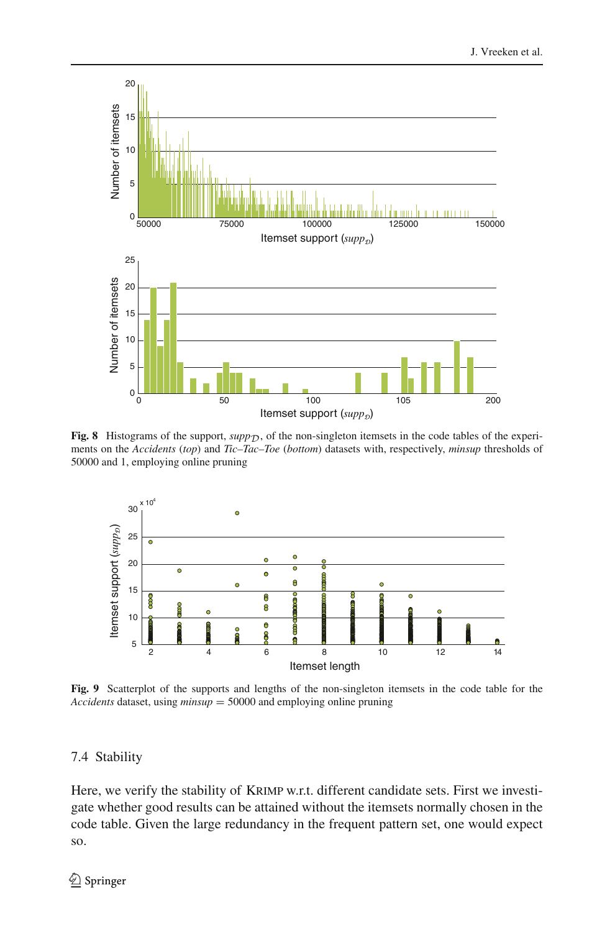

<span id="page-29-1"></span>**Fig. 8** Histograms of the support, *suppD*, of the non-singleton itemsets in the code tables of the experiments on the *Accidents* (*top*) and *Tic–Tac–Toe* (*bottom*) datasets with, respectively, *minsup* thresholds of 50000 and 1, employing online pruning



<span id="page-29-2"></span>**Fig. 9** Scatterplot of the supports and lengths of the non-singleton itemsets in the code table for the *Accidents* dataset, using *minsup* = 50000 and employing online pruning

# <span id="page-29-0"></span>7.4 Stability

Here, we verify the stability of KRIMP w.r.t. different candidate sets. First we investigate whether good results can be attained without the itemsets normally chosen in the code table. Given the large redundancy in the frequent pattern set, one would expect so.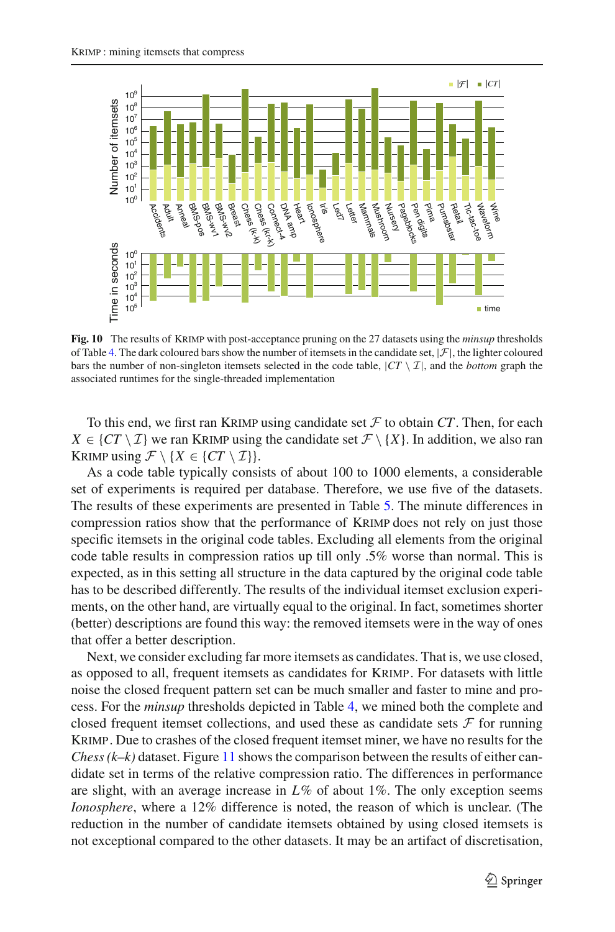

<span id="page-30-0"></span>**Fig. 10** The results of Krimp with post-acceptance pruning on the 27 datasets using the *minsup* thresholds of Table [4.](#page-26-0) The dark coloured bars show the number of itemsets in the candidate set,  $|\mathcal{F}|$ , the lighter coloured bars the number of non-singleton itemsets selected in the code table,  $|CT \setminus \mathcal{I}|$ , and the *bottom* graph the associated runtimes for the single-threaded implementation

To this end, we first ran KRIMP using candidate set  $\mathcal F$  to obtain  $CT$ . Then, for each  $X \in \{CT \setminus \mathcal{I}\}$  we ran KRIMP using the candidate set  $\mathcal{F} \setminus \{X\}$ . In addition, we also ran KRIMP using  $\mathcal{F} \setminus \{X \in \{CT \setminus \mathcal{I}\}\}.$ 

As a code table typically consists of about 100 to 1000 elements, a considerable set of experiments is required per database. Therefore, we use five of the datasets. The results of these experiments are presented in Table [5.](#page-31-1) The minute differences in compression ratios show that the performance of Krimp does not rely on just those specific itemsets in the original code tables. Excluding all elements from the original code table results in compression ratios up till only .5% worse than normal. This is expected, as in this setting all structure in the data captured by the original code table has to be described differently. The results of the individual itemset exclusion experiments, on the other hand, are virtually equal to the original. In fact, sometimes shorter (better) descriptions are found this way: the removed itemsets were in the way of ones that offer a better description.

Next, we consider excluding far more itemsets as candidates. That is, we use closed, as opposed to all, frequent itemsets as candidates for Krimp. For datasets with little noise the closed frequent pattern set can be much smaller and faster to mine and process. For the *minsup* thresholds depicted in Table [4,](#page-26-0) we mined both the complete and closed frequent itemset collections, and used these as candidate sets  $\mathcal F$  for running Krimp. Due to crashes of the closed frequent itemset miner, we have no results for the *Chess (k–k)* dataset. Figure [11](#page-31-2) shows the comparison between the results of either candidate set in terms of the relative compression ratio. The differences in performance are slight, with an average increase in *L*% of about 1%. The only exception seems *Ionosphere*, where a 12% difference is noted, the reason of which is unclear. (The reduction in the number of candidate itemsets obtained by using closed itemsets is not exceptional compared to the other datasets. It may be an artifact of discretisation,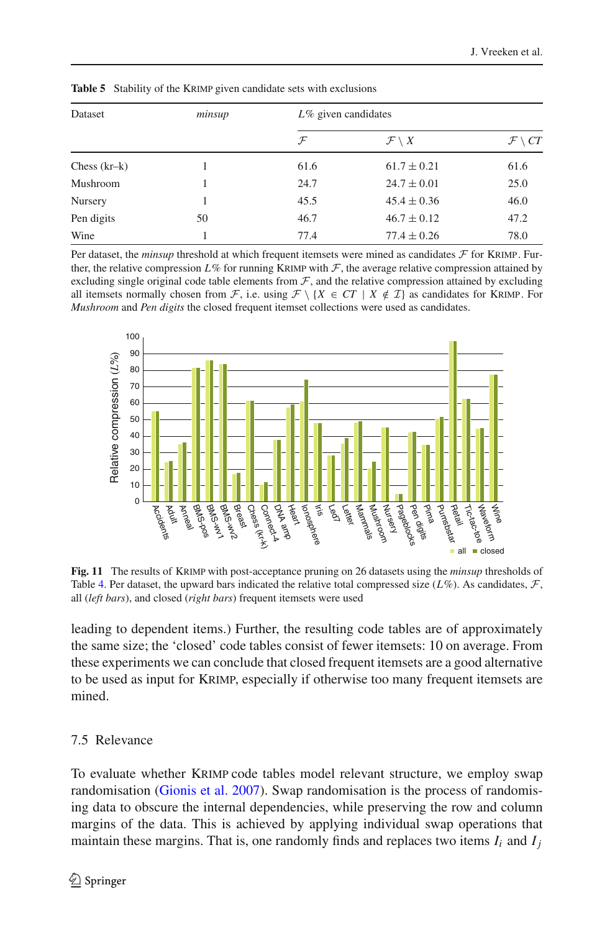| Dataset        | minsup |               | $L\%$ given candidates   |                           |  |  |  |
|----------------|--------|---------------|--------------------------|---------------------------|--|--|--|
|                |        | $\mathcal{F}$ | $\mathcal{F}\setminus X$ | $\mathcal{F}\setminus CT$ |  |  |  |
| Chess $(kr-k)$ |        | 61.6          | $61.7 \pm 0.21$          | 61.6                      |  |  |  |
| Mushroom       |        | 24.7          | $24.7 \pm 0.01$          | 25.0                      |  |  |  |
| Nursery        |        | 45.5          | $45.4 \pm 0.36$          | 46.0                      |  |  |  |
| Pen digits     | 50     | 46.7          | $46.7 \pm 0.12$          | 47.2                      |  |  |  |
| Wine           |        | 77.4          | $77.4 \pm 0.26$          | 78.0                      |  |  |  |

<span id="page-31-1"></span>**Table 5** Stability of the KRIMP given candidate sets with exclusions

Per dataset, the *minsup* threshold at which frequent itemsets were mined as candidates *<sup>F</sup>* for Krimp. Further, the relative compression  $L\%$  for running KRIMP with  $\mathcal F$ , the average relative compression attained by excluding single original code table elements from  $F$ , and the relative compression attained by excluding all itemsets normally chosen from *F*, i.e. using  $F \setminus \{X \in CT \mid X \notin \mathcal{I}\}\$  as candidates for KRIMP. For *Mushroom* and *Pen digits* the closed frequent itemset collections were used as candidates.



<span id="page-31-2"></span>**Fig. 11** The results of Krimp with post-acceptance pruning on 26 datasets using the *minsup* thresholds of Table [4.](#page-26-0) Per dataset, the upward bars indicated the relative total compressed size  $(L\%)$ . As candidates,  $\mathcal{F}$ , all (*left bars*), and closed (*right bars*) frequent itemsets were used

leading to dependent items.) Further, the resulting code tables are of approximately the same size; the 'closed' code tables consist of fewer itemsets: 10 on average. From these experiments we can conclude that closed frequent itemsets are a good alternative to be used as input for Krimp, especially if otherwise too many frequent itemsets are mined.

# <span id="page-31-0"></span>7.5 Relevance

To evaluate whether Krimp code tables model relevant structure, we employ swap randomisation [\(Gionis et al. 2007\)](#page-43-13). Swap randomisation is the process of randomising data to obscure the internal dependencies, while preserving the row and column margins of the data. This is achieved by applying individual swap operations that maintain these margins. That is, one randomly finds and replaces two items  $I_i$  and  $I_j$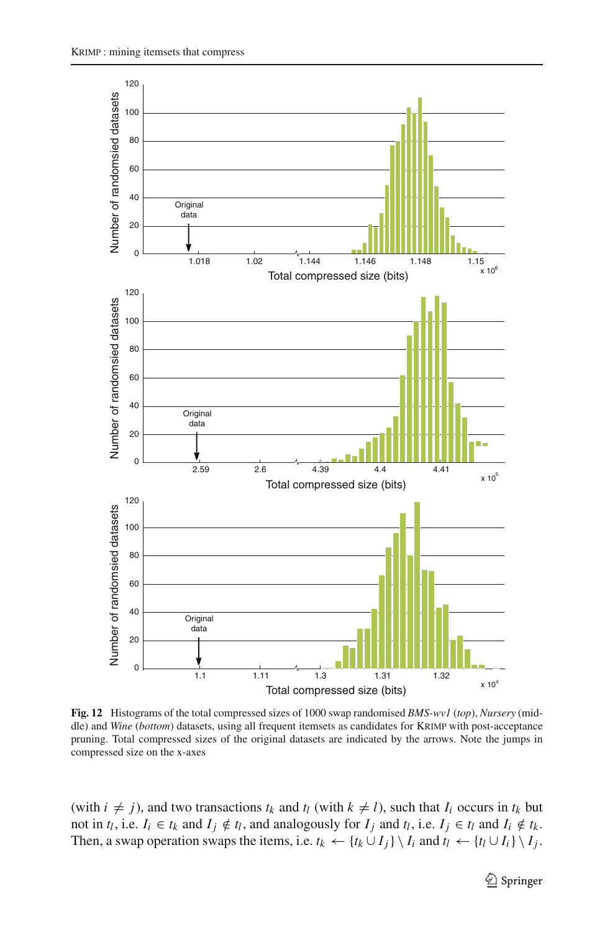

<span id="page-32-0"></span>**Fig. 12** Histograms of the total compressed sizes of 1000 swap randomised *BMS-wv1* (*top*), *Nursery* (middle) and *Wine* (*bottom*) datasets, using all frequent itemsets as candidates for Krimp with post-acceptance pruning. Total compressed sizes of the original datasets are indicated by the arrows. Note the jumps in compressed size on the x-axes

(with  $i \neq j$ ), and two transactions  $t_k$  and  $t_l$  (with  $k \neq l$ ), such that  $I_i$  occurs in  $t_k$  but not in  $t_l$ , i.e.  $I_i \in t_k$  and  $I_j \notin t_l$ , and analogously for  $I_j$  and  $t_l$ , i.e.  $I_j \in t_l$  and  $I_i \notin t_k$ . Then, a swap operation swaps the items, i.e.  $t_k \leftarrow \{t_k \cup I_j\} \setminus I_i$  and  $t_l \leftarrow \{t_l \cup I_i\} \setminus I_j$ .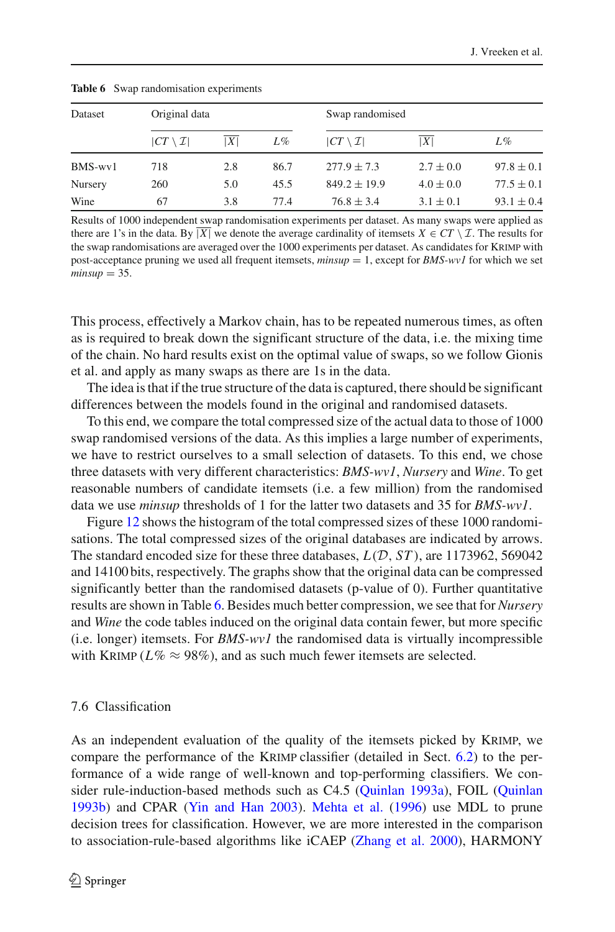| Dataset | Original data                |     |       | Swap randomised              |               |                |  |
|---------|------------------------------|-----|-------|------------------------------|---------------|----------------|--|
|         | $ CT \setminus \mathcal{I} $ | X   | $L\%$ | $ CT \setminus \mathcal{I} $ | X             | $L\%$          |  |
| BMS-wy1 | 718                          | 2.8 | 86.7  | $277.9 \pm 7.3$              | $2.7 \pm 0.0$ | $97.8 \pm 0.1$ |  |
| Nursery | 260                          | 5.0 | 45.5  | $849.2 \pm 19.9$             | $4.0 \pm 0.0$ | $77.5 \pm 0.1$ |  |
| Wine    | 67                           | 3.8 | 77.4  | $76.8 \pm 3.4$               | $3.1 \pm 0.1$ | $93.1 \pm 0.4$ |  |

<span id="page-33-1"></span>**Table 6** Swap randomisation experiments

Results of 1000 independent swap randomisation experiments per dataset. As many swaps were applied as there are 1's in the data. By  $|\overline{X}|$  we denote the average cardinality of itemsets  $X \in \mathbb{C}T \setminus \mathcal{I}$ . The results for the swap randomisations are averaged over the 1000 experiments per dataset. As candidates for Krimp with post-acceptance pruning we used all frequent itemsets, *minsup* = 1, except for *BMS-wv1* for which we set  $minsup = 35$ .

This process, effectively a Markov chain, has to be repeated numerous times, as often as is required to break down the significant structure of the data, i.e. the mixing time of the chain. No hard results exist on the optimal value of swaps, so we follow Gionis et al. and apply as many swaps as there are 1s in the data.

The idea is that if the true structure of the data is captured, there should be significant differences between the models found in the original and randomised datasets.

To this end, we compare the total compressed size of the actual data to those of 1000 swap randomised versions of the data. As this implies a large number of experiments, we have to restrict ourselves to a small selection of datasets. To this end, we chose three datasets with very different characteristics: *BMS-wv1*, *Nursery* and *Wine*. To get reasonable numbers of candidate itemsets (i.e. a few million) from the randomised data we use *minsup* thresholds of 1 for the latter two datasets and 35 for *BMS-wv1*.

Figure [12](#page-32-0) shows the histogram of the total compressed sizes of these 1000 randomisations. The total compressed sizes of the original databases are indicated by arrows. The standard encoded size for these three databases, *L*(*D*, *ST* ), are 1173962, 569042 and 14100 bits, respectively. The graphs show that the original data can be compressed significantly better than the randomised datasets (p-value of 0). Further quantitative results are shown in Table [6.](#page-33-1) Besides much better compression, we see that for *Nursery* and *Wine* the code tables induced on the original data contain fewer, but more specific (i.e. longer) itemsets. For *BMS-wv1* the randomised data is virtually incompressible with KRIMP ( $L\% \approx 98\%$ ), and as such much fewer itemsets are selected.

# <span id="page-33-0"></span>7.6 Classification

As an independent evaluation of the quality of the itemsets picked by Krimp, we compare the performance of the Krimp classifier (detailed in Sect. [6.2\)](#page-22-1) to the performance of a wide range of well-known and top-performing classifiers. We con-sider rule-induction-based methods such as C4.5 [\(Quinlan 1993a](#page-44-25)), FOIL [\(Quinlan](#page-44-26) [1993b\)](#page-44-26) and CPAR [\(Yin and Han 2003\)](#page-45-8). [Mehta et al.](#page-44-27) [\(1996\)](#page-44-27) use MDL to prune decision trees for classification. However, we are more interested in the comparison to association-rule-based algorithms like iCAEP [\(Zhang et al. 2000](#page-45-9)), HARMONY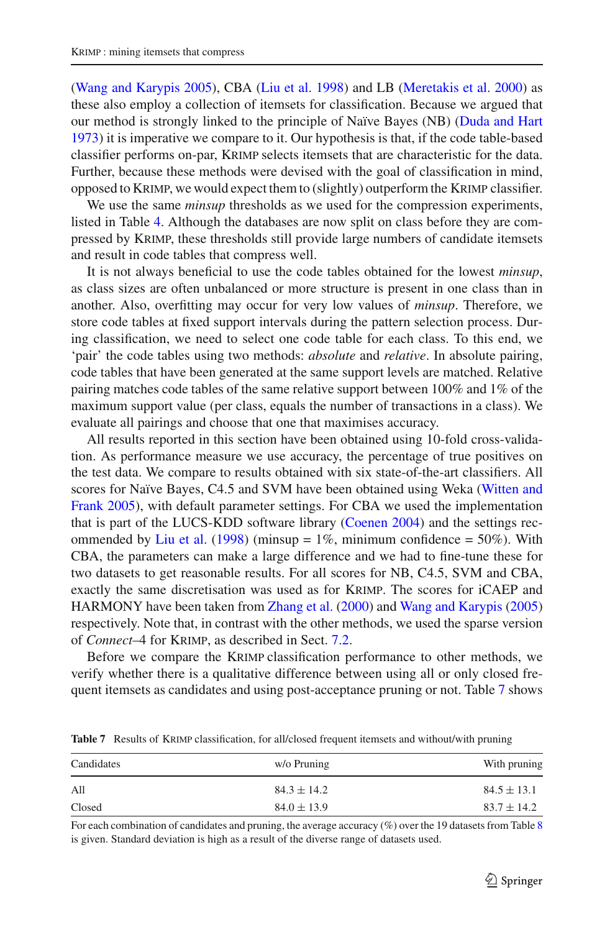[\(Wang and Karypis 2005\)](#page-45-10), CBA [\(Liu et al. 1998\)](#page-44-28) and LB [\(Meretakis et al. 2000\)](#page-44-29) as these also employ a collection of itemsets for classification. Because we argued that our method is strongly linked to the principle of Naïve Bayes (NB) [\(Duda and Hart](#page-43-14) [1973\)](#page-43-14) it is imperative we compare to it. Our hypothesis is that, if the code table-based classifier performs on-par, Krimp selects itemsets that are characteristic for the data. Further, because these methods were devised with the goal of classification in mind, opposed to Krimp, we would expect them to (slightly) outperform the Krimp classifier.

We use the same *minsup* thresholds as we used for the compression experiments, listed in Table [4.](#page-26-0) Although the databases are now split on class before they are compressed by Krimp, these thresholds still provide large numbers of candidate itemsets and result in code tables that compress well.

It is not always beneficial to use the code tables obtained for the lowest *minsup*, as class sizes are often unbalanced or more structure is present in one class than in another. Also, overfitting may occur for very low values of *minsup*. Therefore, we store code tables at fixed support intervals during the pattern selection process. During classification, we need to select one code table for each class. To this end, we 'pair' the code tables using two methods: *absolute* and *relative*. In absolute pairing, code tables that have been generated at the same support levels are matched. Relative pairing matches code tables of the same relative support between 100% and 1% of the maximum support value (per class, equals the number of transactions in a class). We evaluate all pairings and choose that one that maximises accuracy.

All results reported in this section have been obtained using 10-fold cross-validation. As performance measure we use accuracy, the percentage of true positives on the test data. We compare to results obtained with six state-of-the-art classifiers. All score[s for Naïve Bayes, C4.5 and SVM have been obtained using Weka \(](#page-45-11)Witten and Frank [2005\)](#page-45-11), with default parameter settings. For CBA we used the implementation that is part of the LUCS-KDD software library [\(Coenen 2004](#page-43-15)) and the settings rec-ommended by [Liu et al.](#page-44-28) [\(1998\)](#page-44-28) (minsup =  $1\%$ , minimum confidence =  $50\%$ ). With CBA, the parameters can make a large difference and we had to fine-tune these for two datasets to get reasonable results. For all scores for NB, C4.5, SVM and CBA, exactly the same discretisation was used as for Krimp. The scores for iCAEP and HARMONY have been taken from [Zhang et al.](#page-45-9) [\(2000\)](#page-45-9) and [Wang and Karypis](#page-45-10) [\(2005\)](#page-45-10) respectively. Note that, in contrast with the other methods, we used the sparse version of *Connect*–4 for Krimp, as described in Sect. [7.2.](#page-24-1)

Before we compare the Krimp classification performance to other methods, we verify whether there is a qualitative difference between using all or only closed frequent itemsets as candidates and using post-acceptance pruning or not. Table [7](#page-34-0) shows

| Candidates | w/o Pruning     | With pruning    |
|------------|-----------------|-----------------|
| All        | $84.3 \pm 14.2$ | $84.5 \pm 13.1$ |
| Closed     | $84.0 \pm 13.9$ | $83.7 \pm 14.2$ |

<span id="page-34-0"></span>**Table 7** Results of Krimp classification, for all/closed frequent itemsets and without/with pruning

For each combination of candidates and pruning, the average accuracy (%) over the 19 datasets from Table [8](#page-35-0) is given. Standard deviation is high as a result of the diverse range of datasets used.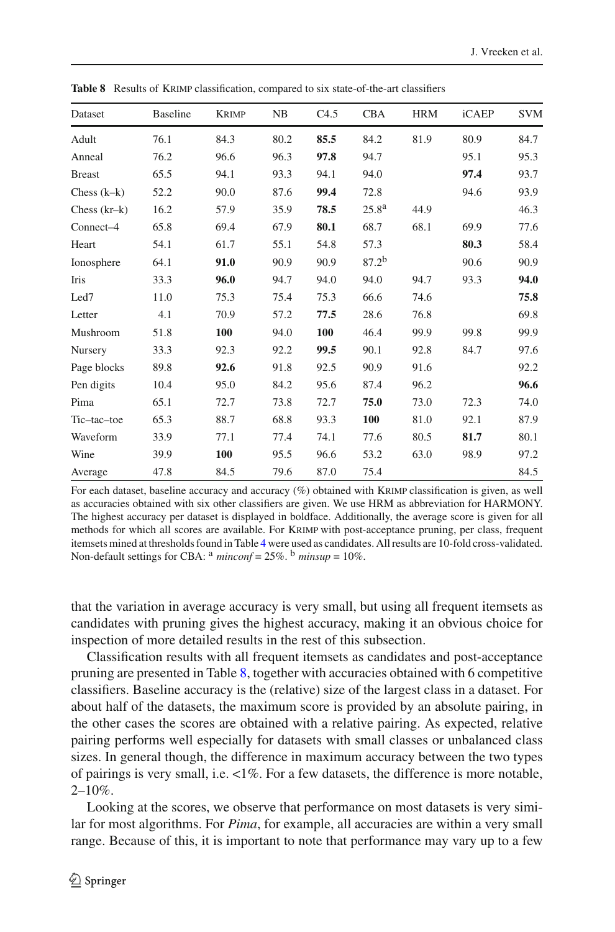| Dataset        | <b>Baseline</b> | <b>KRIMP</b> | N <sub>B</sub> | C4.5 | <b>CBA</b>        | <b>HRM</b> | iCAEP | <b>SVM</b> |
|----------------|-----------------|--------------|----------------|------|-------------------|------------|-------|------------|
| Adult          | 76.1            | 84.3         | 80.2           | 85.5 | 84.2              | 81.9       | 80.9  | 84.7       |
| Anneal         | 76.2            | 96.6         | 96.3           | 97.8 | 94.7              |            | 95.1  | 95.3       |
| <b>Breast</b>  | 65.5            | 94.1         | 93.3           | 94.1 | 94.0              |            | 97.4  | 93.7       |
| Chess $(k-k)$  | 52.2            | 90.0         | 87.6           | 99.4 | 72.8              |            | 94.6  | 93.9       |
| Chess $(kr-k)$ | 16.2            | 57.9         | 35.9           | 78.5 | 25.8 <sup>a</sup> | 44.9       |       | 46.3       |
| Connect-4      | 65.8            | 69.4         | 67.9           | 80.1 | 68.7              | 68.1       | 69.9  | 77.6       |
| Heart          | 54.1            | 61.7         | 55.1           | 54.8 | 57.3              |            | 80.3  | 58.4       |
| Ionosphere     | 64.1            | 91.0         | 90.9           | 90.9 | $87.2^{b}$        |            | 90.6  | 90.9       |
| Iris           | 33.3            | 96.0         | 94.7           | 94.0 | 94.0              | 94.7       | 93.3  | 94.0       |
| Led7           | 11.0            | 75.3         | 75.4           | 75.3 | 66.6              | 74.6       |       | 75.8       |
| Letter         | 4.1             | 70.9         | 57.2           | 77.5 | 28.6              | 76.8       |       | 69.8       |
| Mushroom       | 51.8            | 100          | 94.0           | 100  | 46.4              | 99.9       | 99.8  | 99.9       |
| Nursery        | 33.3            | 92.3         | 92.2           | 99.5 | 90.1              | 92.8       | 84.7  | 97.6       |
| Page blocks    | 89.8            | 92.6         | 91.8           | 92.5 | 90.9              | 91.6       |       | 92.2       |
| Pen digits     | 10.4            | 95.0         | 84.2           | 95.6 | 87.4              | 96.2       |       | 96.6       |
| Pima           | 65.1            | 72.7         | 73.8           | 72.7 | 75.0              | 73.0       | 72.3  | 74.0       |
| Tic-tac-toe    | 65.3            | 88.7         | 68.8           | 93.3 | 100               | 81.0       | 92.1  | 87.9       |
| Waveform       | 33.9            | 77.1         | 77.4           | 74.1 | 77.6              | 80.5       | 81.7  | 80.1       |
| Wine           | 39.9            | 100          | 95.5           | 96.6 | 53.2              | 63.0       | 98.9  | 97.2       |
| Average        | 47.8            | 84.5         | 79.6           | 87.0 | 75.4              |            |       | 84.5       |

<span id="page-35-0"></span>**Table 8** Results of Krimp classification, compared to six state-of-the-art classifiers

For each dataset, baseline accuracy and accuracy (%) obtained with Krimp classification is given, as well as accuracies obtained with six other classifiers are given. We use HRM as abbreviation for HARMONY. The highest accuracy per dataset is displayed in boldface. Additionally, the average score is given for all methods for which all scores are available. For Krimp with post-acceptance pruning, per class, frequent itemsets mined at thresholds found in Table [4](#page-26-0) were used as candidates. All results are 10-fold cross-validated. Non-default settings for CBA:  $\alpha$  *minconf* = 25%.  $\beta$  *minsup* = 10%.

that the variation in average accuracy is very small, but using all frequent itemsets as candidates with pruning gives the highest accuracy, making it an obvious choice for inspection of more detailed results in the rest of this subsection.

Classification results with all frequent itemsets as candidates and post-acceptance pruning are presented in Table [8,](#page-35-0) together with accuracies obtained with 6 competitive classifiers. Baseline accuracy is the (relative) size of the largest class in a dataset. For about half of the datasets, the maximum score is provided by an absolute pairing, in the other cases the scores are obtained with a relative pairing. As expected, relative pairing performs well especially for datasets with small classes or unbalanced class sizes. In general though, the difference in maximum accuracy between the two types of pairings is very small, i.e.  $\lt 1\%$ . For a few datasets, the difference is more notable,  $2 - 10%$ 

Looking at the scores, we observe that performance on most datasets is very similar for most algorithms. For *Pima*, for example, all accuracies are within a very small range. Because of this, it is important to note that performance may vary up to a few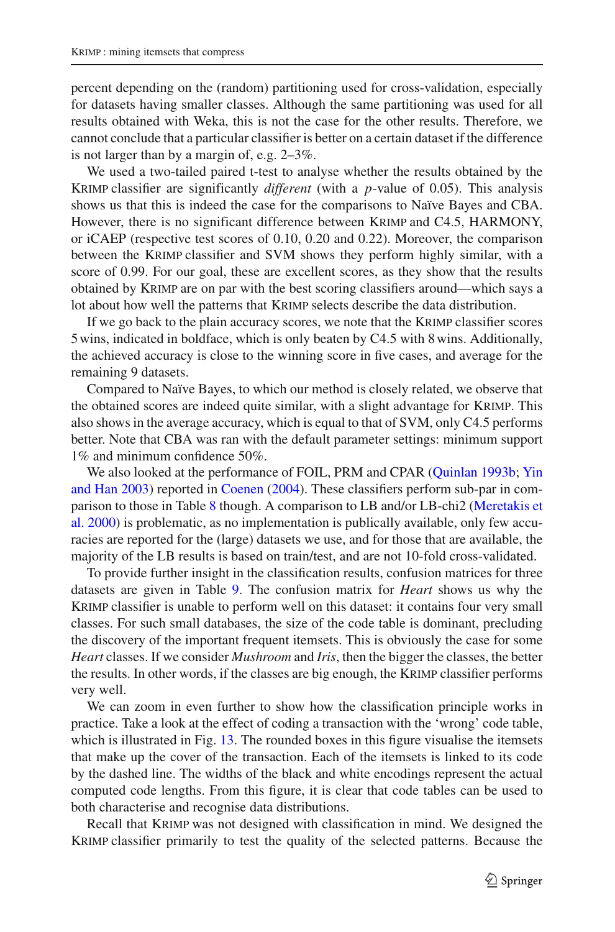percent depending on the (random) partitioning used for cross-validation, especially for datasets having smaller classes. Although the same partitioning was used for all results obtained with Weka, this is not the case for the other results. Therefore, we cannot conclude that a particular classifier is better on a certain dataset if the difference is not larger than by a margin of, e.g. 2–3%.

We used a two-tailed paired t-test to analyse whether the results obtained by the Krimp classifier are significantly *different* (with a *p*-value of 0.05). This analysis shows us that this is indeed the case for the comparisons to Naïve Bayes and CBA. However, there is no significant difference between Krimp and C4.5, HARMONY, or iCAEP (respective test scores of 0.10, 0.20 and 0.22). Moreover, the comparison between the Krimp classifier and SVM shows they perform highly similar, with a score of 0.99. For our goal, these are excellent scores, as they show that the results obtained by Krimp are on par with the best scoring classifiers around—which says a lot about how well the patterns that Krimp selects describe the data distribution.

If we go back to the plain accuracy scores, we note that the Krimp classifier scores 5 wins, indicated in boldface, which is only beaten by C4.5 with 8 wins. Additionally, the achieved accuracy is close to the winning score in five cases, and average for the remaining 9 datasets.

Compared to Naïve Bayes, to which our method is closely related, we observe that the obtained scores are indeed quite similar, with a slight advantage for Krimp. This also shows in the average accuracy, which is equal to that of SVM, only C4.5 performs better. Note that CBA was ran with the default parameter settings: minimum support 1% and minimum confidence 50%.

We a[lso looked at the performance of FOIL, PRM and CPAR](#page-45-8) [\(Quinlan 1993b;](#page-44-26) Yin and Han [2003\)](#page-45-8) reported in [Coenen](#page-43-15) [\(2004](#page-43-15)). These classifiers perform sub-par in comparison to those in Table [8](#page-35-0) [though. A comparison to LB and/or LB-chi2 \(](#page-44-29)Meretakis et al. [2000\)](#page-44-29) is problematic, as no implementation is publically available, only few accuracies are reported for the (large) datasets we use, and for those that are available, the majority of the LB results is based on train/test, and are not 10-fold cross-validated.

To provide further insight in the classification results, confusion matrices for three datasets are given in Table [9.](#page-37-1) The confusion matrix for *Heart* shows us why the Krimp classifier is unable to perform well on this dataset: it contains four very small classes. For such small databases, the size of the code table is dominant, precluding the discovery of the important frequent itemsets. This is obviously the case for some *Heart* classes. If we consider *Mushroom* and *Iris*, then the bigger the classes, the better the results. In other words, if the classes are big enough, the Krimp classifier performs very well.

We can zoom in even further to show how the classification principle works in practice. Take a look at the effect of coding a transaction with the 'wrong' code table, which is illustrated in Fig. [13.](#page-37-2) The rounded boxes in this figure visualise the itemsets that make up the cover of the transaction. Each of the itemsets is linked to its code by the dashed line. The widths of the black and white encodings represent the actual computed code lengths. From this figure, it is clear that code tables can be used to both characterise and recognise data distributions.

Recall that Krimp was not designed with classification in mind. We designed the Krimp classifier primarily to test the quality of the selected patterns. Because the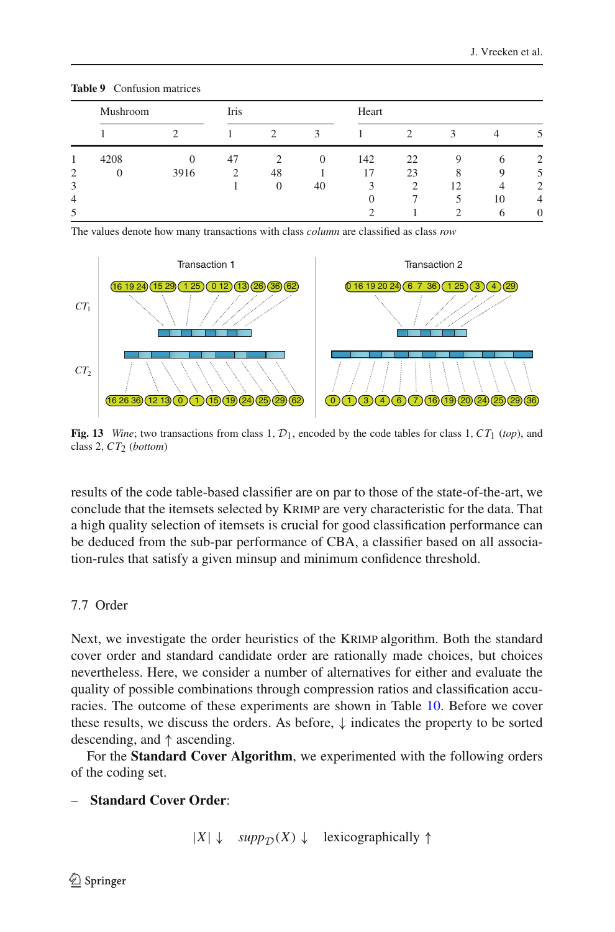|                | Mushroom |      | Iris |          | Heart        |     |    |    |              |   |
|----------------|----------|------|------|----------|--------------|-----|----|----|--------------|---|
|                |          |      |      |          | $\mathbf{R}$ |     |    |    |              |   |
|                | 4208     | 0    | 47   |          | $\Omega$     | 142 | 22 |    | <sub>0</sub> | 2 |
| $\overline{c}$ |          | 3916 | 2    | 48       |              | 17  | 23 | 8  |              |   |
| 3              |          |      |      | $\Omega$ | 40           | 3   | 2  | 12 | 4            | 2 |
| $\overline{4}$ |          |      |      |          |              |     |    |    | 10           | 4 |
| 5              |          |      |      |          |              |     |    |    | O            | 0 |

<span id="page-37-1"></span>

|  | <b>Table 9</b> Confusion matrices |
|--|-----------------------------------|
|  |                                   |

The values denote how many transactions with class *column* are classified as class *row*



<span id="page-37-2"></span>**Fig. 13** *Wine*; two transactions from class 1,  $\mathcal{D}_1$ , encoded by the code tables for class 1,  $CT_1$  (*top*), and class 2,*CT*2 (*bottom*)

results of the code table-based classifier are on par to those of the state-of-the-art, we conclude that the itemsets selected by Krimp are very characteristic for the data. That a high quality selection of itemsets is crucial for good classification performance can be deduced from the sub-par performance of CBA, a classifier based on all association-rules that satisfy a given minsup and minimum confidence threshold.

# <span id="page-37-0"></span>7.7 Order

Next, we investigate the order heuristics of the Krimp algorithm. Both the standard cover order and standard candidate order are rationally made choices, but choices nevertheless. Here, we consider a number of alternatives for either and evaluate the quality of possible combinations through compression ratios and classification accuracies. The outcome of these experiments are shown in Table [10.](#page-38-0) Before we cover these results, we discuss the orders. As before,  $\downarrow$  indicates the property to be sorted descending, and ↑ ascending.

For the **Standard Cover Algorithm**, we experimented with the following orders of the coding set.

# – **Standard Cover Order**:

 $|X| \downarrow \text{supp}_{\mathcal{D}}(X) \downarrow \text{lexicographically } \uparrow$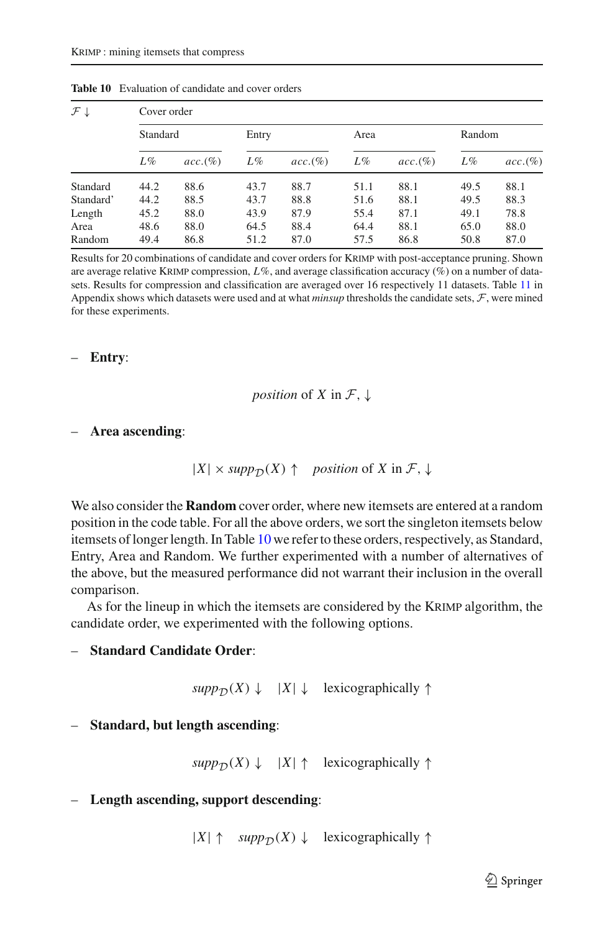| $\mathcal{F} \downarrow$ | Cover order |         |       |             |       |         |       |             |  |  |  |  |
|--------------------------|-------------|---------|-------|-------------|-------|---------|-------|-------------|--|--|--|--|
|                          | Standard    |         | Entry |             |       | Area    |       | Random      |  |  |  |  |
|                          | $L\%$       | acc.(%) | L%    | $acc. (\%)$ | $L\%$ | acc.(%) | $L\%$ | $acc. (\%)$ |  |  |  |  |
| Standard                 | 44.2        | 88.6    | 43.7  | 88.7        | 51.1  | 88.1    | 49.5  | 88.1        |  |  |  |  |
| Standard'                | 44.2        | 88.5    | 43.7  | 88.8        | 51.6  | 88.1    | 49.5  | 88.3        |  |  |  |  |
| Length                   | 45.2        | 88.0    | 43.9  | 87.9        | 55.4  | 87.1    | 49.1  | 78.8        |  |  |  |  |
| Area                     | 48.6        | 88.0    | 64.5  | 88.4        | 64.4  | 88.1    | 65.0  | 88.0        |  |  |  |  |
| Random                   | 49.4        | 86.8    | 51.2  | 87.0        | 57.5  | 86.8    | 50.8  | 87.0        |  |  |  |  |

<span id="page-38-0"></span>**Table 10** Evaluation of candidate and cover orders

Results for 20 combinations of candidate and cover orders for Krimp with post-acceptance pruning. Shown are average relative KRIMP compression,  $L\%$ , and average classification accuracy (%) on a number of datasets. Results for compression and classification are averaged over 16 respectively 11 datasets. Table [11](#page-42-0) in Appendix shows which datasets were used and at what *minsup* thresholds the candidate sets, *F*, were mined for these experiments.

### – **Entry**:

*position* of *X* in  $\mathcal{F}, \downarrow$ 

### – **Area ascending**:

 $|X| \times supp_D(X)$  ↑ *position* of *X* in  $\mathcal{F}, \downarrow$ 

We also consider the **Random** cover order, where new itemsets are entered at a random position in the code table. For all the above orders, we sort the singleton itemsets below itemsets of longer length. In Table [10](#page-38-0) we refer to these orders, respectively, as Standard, Entry, Area and Random. We further experimented with a number of alternatives of the above, but the measured performance did not warrant their inclusion in the overall comparison.

As for the lineup in which the itemsets are considered by the Krimp algorithm, the candidate order, we experimented with the following options.

# – **Standard Candidate Order**:

 $supp_{\mathcal{D}}(X) \downarrow |X| \downarrow$  lexicographically  $\uparrow$ 

– **Standard, but length ascending**:

 $supp_{\mathcal{D}}(X) \downarrow |X| \uparrow$  lexicographically  $\uparrow$ 

– **Length ascending, support descending**:

 $|X| \uparrow \text{supp}_{\mathcal{D}}(X) \downarrow$  lexicographically  $\uparrow$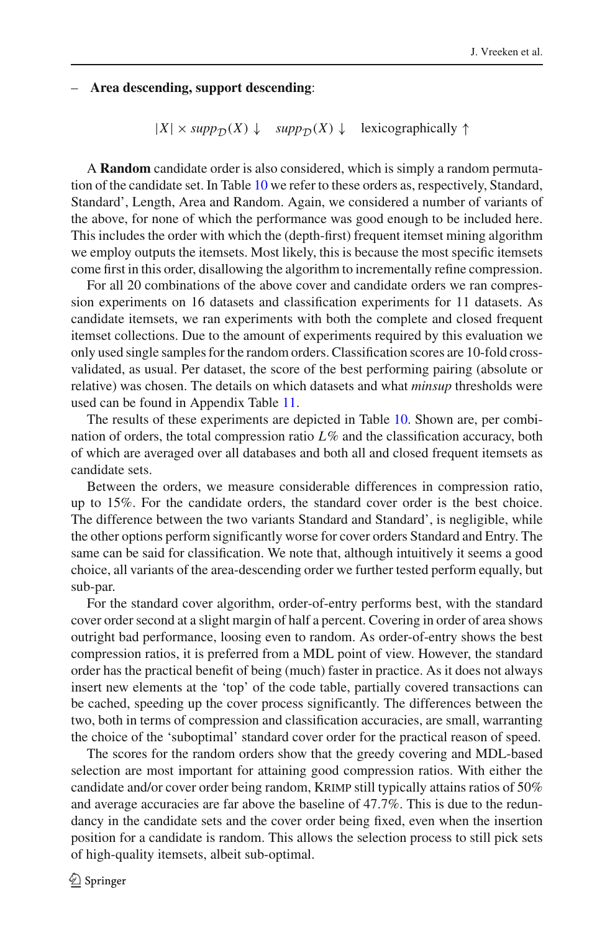#### – **Area descending, support descending**:

```
|X| \times supp_{\mathcal{D}}(X) \downarrow supp_{\mathcal{D}}(X) \downarrow lexicographically \uparrow
```
A **Random** candidate order is also considered, which is simply a random permutation of the candidate set. In Table [10](#page-38-0) we refer to these orders as, respectively, Standard, Standard', Length, Area and Random. Again, we considered a number of variants of the above, for none of which the performance was good enough to be included here. This includes the order with which the (depth-first) frequent itemset mining algorithm we employ outputs the itemsets. Most likely, this is because the most specific itemsets come first in this order, disallowing the algorithm to incrementally refine compression.

For all 20 combinations of the above cover and candidate orders we ran compression experiments on 16 datasets and classification experiments for 11 datasets. As candidate itemsets, we ran experiments with both the complete and closed frequent itemset collections. Due to the amount of experiments required by this evaluation we only used single samples for the random orders. Classification scores are 10-fold crossvalidated, as usual. Per dataset, the score of the best performing pairing (absolute or relative) was chosen. The details on which datasets and what *minsup* thresholds were used can be found in Appendix Table [11.](#page-42-0)

The results of these experiments are depicted in Table [10.](#page-38-0) Shown are, per combination of orders, the total compression ratio *L*% and the classification accuracy, both of which are averaged over all databases and both all and closed frequent itemsets as candidate sets.

Between the orders, we measure considerable differences in compression ratio, up to 15%. For the candidate orders, the standard cover order is the best choice. The difference between the two variants Standard and Standard', is negligible, while the other options perform significantly worse for cover orders Standard and Entry. The same can be said for classification. We note that, although intuitively it seems a good choice, all variants of the area-descending order we further tested perform equally, but sub-par.

For the standard cover algorithm, order-of-entry performs best, with the standard cover order second at a slight margin of half a percent. Covering in order of area shows outright bad performance, loosing even to random. As order-of-entry shows the best compression ratios, it is preferred from a MDL point of view. However, the standard order has the practical benefit of being (much) faster in practice. As it does not always insert new elements at the 'top' of the code table, partially covered transactions can be cached, speeding up the cover process significantly. The differences between the two, both in terms of compression and classification accuracies, are small, warranting the choice of the 'suboptimal' standard cover order for the practical reason of speed.

The scores for the random orders show that the greedy covering and MDL-based selection are most important for attaining good compression ratios. With either the candidate and/or cover order being random, Krimp still typically attains ratios of 50% and average accuracies are far above the baseline of 47.7%. This is due to the redundancy in the candidate sets and the cover order being fixed, even when the insertion position for a candidate is random. This allows the selection process to still pick sets of high-quality itemsets, albeit sub-optimal.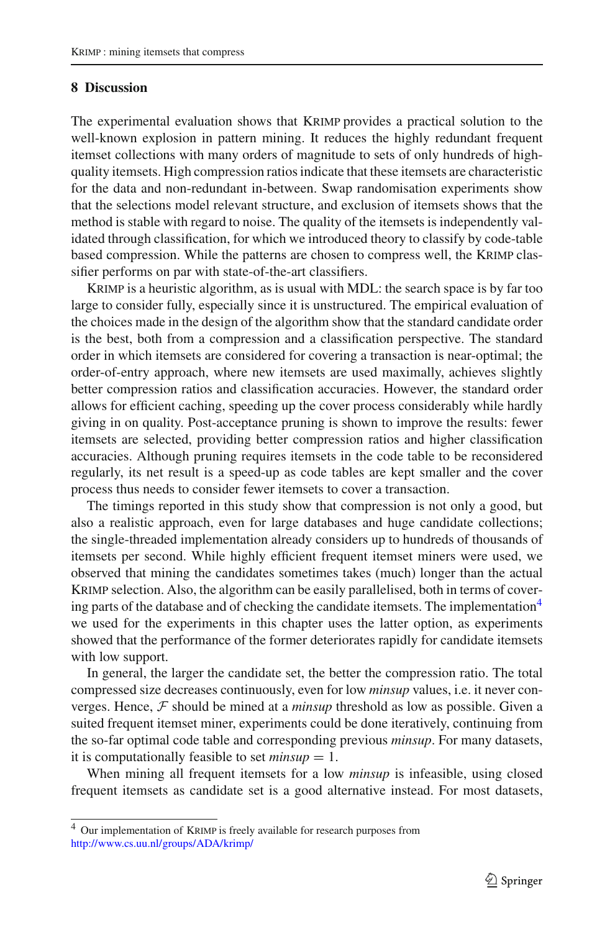# <span id="page-40-0"></span>**8 Discussion**

The experimental evaluation shows that Krimp provides a practical solution to the well-known explosion in pattern mining. It reduces the highly redundant frequent itemset collections with many orders of magnitude to sets of only hundreds of highquality itemsets. High compression ratios indicate that these itemsets are characteristic for the data and non-redundant in-between. Swap randomisation experiments show that the selections model relevant structure, and exclusion of itemsets shows that the method is stable with regard to noise. The quality of the itemsets is independently validated through classification, for which we introduced theory to classify by code-table based compression. While the patterns are chosen to compress well, the Krimp classifier performs on par with state-of-the-art classifiers.

Krimp is a heuristic algorithm, as is usual with MDL: the search space is by far too large to consider fully, especially since it is unstructured. The empirical evaluation of the choices made in the design of the algorithm show that the standard candidate order is the best, both from a compression and a classification perspective. The standard order in which itemsets are considered for covering a transaction is near-optimal; the order-of-entry approach, where new itemsets are used maximally, achieves slightly better compression ratios and classification accuracies. However, the standard order allows for efficient caching, speeding up the cover process considerably while hardly giving in on quality. Post-acceptance pruning is shown to improve the results: fewer itemsets are selected, providing better compression ratios and higher classification accuracies. Although pruning requires itemsets in the code table to be reconsidered regularly, its net result is a speed-up as code tables are kept smaller and the cover process thus needs to consider fewer itemsets to cover a transaction.

The timings reported in this study show that compression is not only a good, but also a realistic approach, even for large databases and huge candidate collections; the single-threaded implementation already considers up to hundreds of thousands of itemsets per second. While highly efficient frequent itemset miners were used, we observed that mining the candidates sometimes takes (much) longer than the actual Krimp selection. Also, the algorithm can be easily parallelised, both in terms of cover-ing parts of the database and of checking the candidate itemsets. The implementation<sup>[4](#page-40-1)</sup> we used for the experiments in this chapter uses the latter option, as experiments showed that the performance of the former deteriorates rapidly for candidate itemsets with low support.

In general, the larger the candidate set, the better the compression ratio. The total compressed size decreases continuously, even for low *minsup* values, i.e. it never converges. Hence, *F* should be mined at a *minsup* threshold as low as possible. Given a suited frequent itemset miner, experiments could be done iteratively, continuing from the so-far optimal code table and corresponding previous *minsup*. For many datasets, it is computationally feasible to set  $minsup = 1$ .

When mining all frequent itemsets for a low *minsup* is infeasible, using closed frequent itemsets as candidate set is a good alternative instead. For most datasets,

<span id="page-40-1"></span><sup>4</sup> Our implementation of Krimp is freely available for research purposes from <http://www.cs.uu.nl/groups/ADA/krimp/>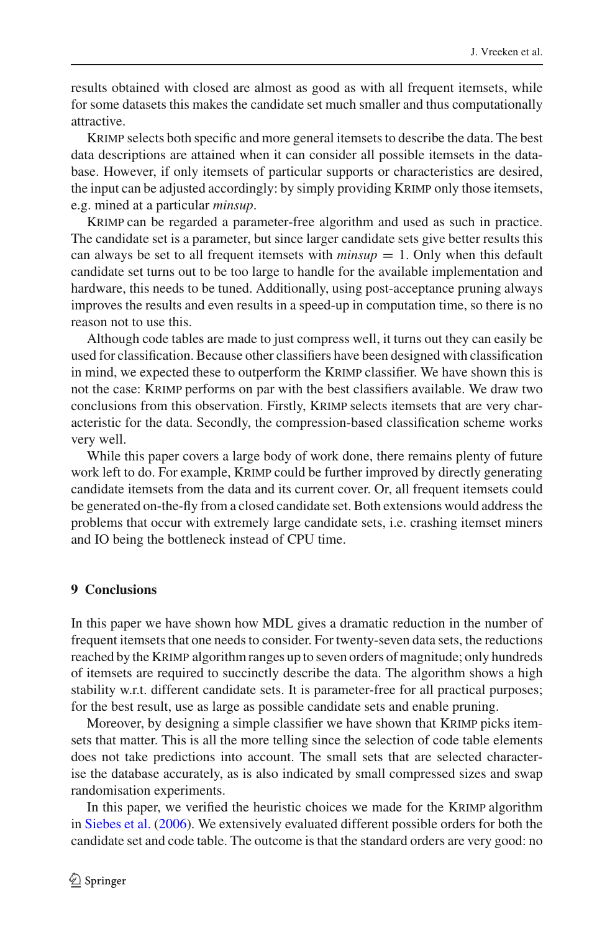results obtained with closed are almost as good as with all frequent itemsets, while for some datasets this makes the candidate set much smaller and thus computationally attractive.

Krimp selects both specific and more general itemsets to describe the data. The best data descriptions are attained when it can consider all possible itemsets in the database. However, if only itemsets of particular supports or characteristics are desired, the input can be adjusted accordingly: by simply providing Krimp only those itemsets, e.g. mined at a particular *minsup*.

Krimp can be regarded a parameter-free algorithm and used as such in practice. The candidate set is a parameter, but since larger candidate sets give better results this can always be set to all frequent itemsets with  $minsup = 1$ . Only when this default candidate set turns out to be too large to handle for the available implementation and hardware, this needs to be tuned. Additionally, using post-acceptance pruning always improves the results and even results in a speed-up in computation time, so there is no reason not to use this.

Although code tables are made to just compress well, it turns out they can easily be used for classification. Because other classifiers have been designed with classification in mind, we expected these to outperform the Krimp classifier. We have shown this is not the case: Krimp performs on par with the best classifiers available. We draw two conclusions from this observation. Firstly, Krimp selects itemsets that are very characteristic for the data. Secondly, the compression-based classification scheme works very well.

While this paper covers a large body of work done, there remains plenty of future work left to do. For example, Krimp could be further improved by directly generating candidate itemsets from the data and its current cover. Or, all frequent itemsets could be generated on-the-fly from a closed candidate set. Both extensions would address the problems that occur with extremely large candidate sets, i.e. crashing itemset miners and IO being the bottleneck instead of CPU time.

# <span id="page-41-0"></span>**9 Conclusions**

In this paper we have shown how MDL gives a dramatic reduction in the number of frequent itemsets that one needs to consider. For twenty-seven data sets, the reductions reached by the Krimp algorithm ranges up to seven orders of magnitude; only hundreds of itemsets are required to succinctly describe the data. The algorithm shows a high stability w.r.t. different candidate sets. It is parameter-free for all practical purposes; for the best result, use as large as possible candidate sets and enable pruning.

Moreover, by designing a simple classifier we have shown that Krimp picks itemsets that matter. This is all the more telling since the selection of code table elements does not take predictions into account. The small sets that are selected characterise the database accurately, as is also indicated by small compressed sizes and swap randomisation experiments.

In this paper, we verified the heuristic choices we made for the Krimp algorithm in [Siebes et al.](#page-44-0) [\(2006](#page-44-0)). We extensively evaluated different possible orders for both the candidate set and code table. The outcome is that the standard orders are very good: no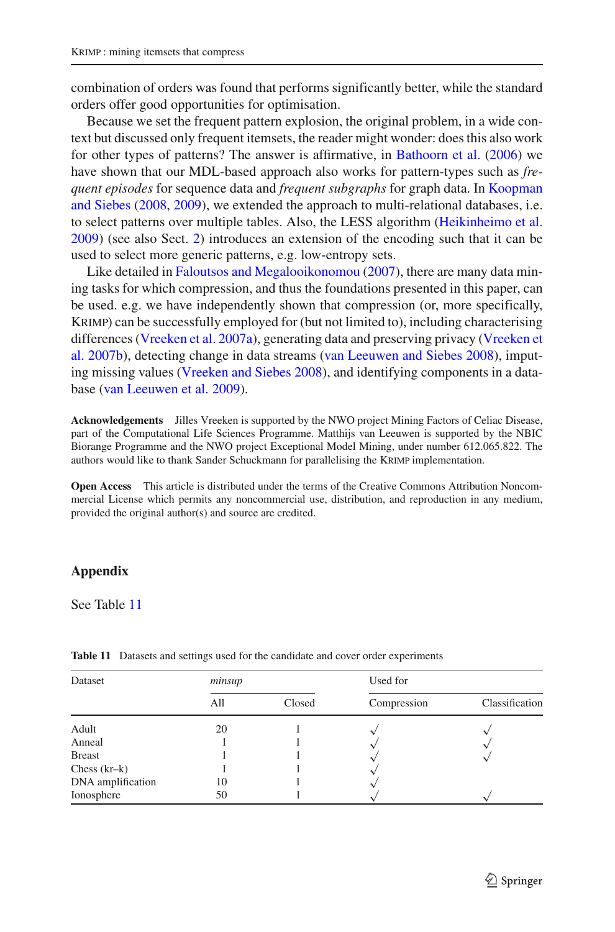combination of orders was found that performs significantly better, while the standard orders offer good opportunities for optimisation.

Because we set the frequent pattern explosion, the original problem, in a wide context but discussed only frequent itemsets, the reader might wonder: does this also work for other types of patterns? The answer is affirmative, in [Bathoorn et al.](#page-43-16) [\(2006\)](#page-43-16) we have shown that our MDL-based approach also works for pattern-types such as *frequent episodes* [for](#page-44-30) [sequence](#page-44-30) [data](#page-44-30) [and](#page-44-30) *frequent subgraphs* for graph data. In Koopman and Siebes [\(2008](#page-44-30), [2009](#page-44-31)), we extended the approach to multi-relational databases, i.e. to select patterns over multiple tables. Also, the LESS algorithm [\(Heikinheimo et al.](#page-44-17) [2009\)](#page-44-17) (see also Sect. [2\)](#page-3-0) introduces an extension of the encoding such that it can be used to select more generic patterns, e.g. low-entropy sets.

Like detailed in [Faloutsos and Megalooikonomou](#page-43-2) [\(2007\)](#page-43-2), there are many data mining tasks for which compression, and thus the foundations presented in this paper, can be used. e.g. we have independently shown that compression (or, more specifically, Krimp) can be successfully employed for (but not limited to), including characterising di[fferences](#page-45-13) [\(Vreeken et al. 2007a\)](#page-45-12)[, generating data and preserving privacy \(](#page-45-13)Vreeken et al. [2007b\)](#page-45-13), detecting change in data streams [\(van Leeuwen and Siebes 2008](#page-45-14)), imputing missing values [\(Vreeken and Siebes 2008](#page-45-15)), and identifying components in a database [\(van Leeuwen et al. 2009\)](#page-45-16).

**Acknowledgements** Jilles Vreeken is supported by the NWO project Mining Factors of Celiac Disease, part of the Computational Life Sciences Programme. Matthijs van Leeuwen is supported by the NBIC Biorange Programme and the NWO project Exceptional Model Mining, under number 612.065.822. The authors would like to thank Sander Schuckmann for parallelising the Krimp implementation.

**Open Access** This article is distributed under the terms of the Creative Commons Attribution Noncommercial License which permits any noncommercial use, distribution, and reproduction in any medium, provided the original author(s) and source are credited.

# **Appendix**

See Table [11](#page-42-0)

| Dataset           | minsup |        | Used for    |                |
|-------------------|--------|--------|-------------|----------------|
|                   | All    | Closed | Compression | Classification |
| Adult             | 20     |        |             |                |
| Anneal            |        |        |             |                |
| <b>Breast</b>     |        |        |             |                |
| Chess $(kr-k)$    |        |        |             |                |
| DNA amplification | 10     |        |             |                |
| Ionosphere        | 50     |        |             |                |

<span id="page-42-0"></span>**Table 11** Datasets and settings used for the candidate and cover order experiments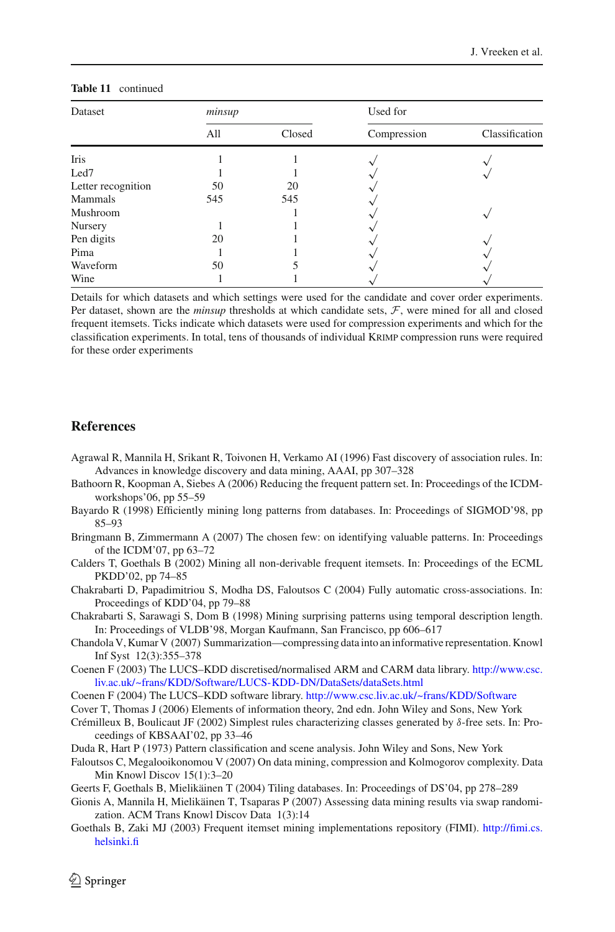| Dataset            | minsup |        | Used for    |                |
|--------------------|--------|--------|-------------|----------------|
|                    | All    | Closed | Compression | Classification |
| <b>Iris</b>        |        |        |             |                |
| Led7               |        |        |             |                |
| Letter recognition | 50     | 20     |             |                |
| Mammals            | 545    | 545    |             |                |
| Mushroom           |        |        |             |                |
| Nursery            |        |        |             |                |
| Pen digits         | 20     |        |             |                |
| Pima               |        |        |             |                |
| Waveform           | 50     |        |             |                |
| Wine               |        |        |             |                |

#### **Table 11** continued

Details for which datasets and which settings were used for the candidate and cover order experiments. Per dataset, shown are the *minsup* thresholds at which candidate sets, *F*, were mined for all and closed frequent itemsets. Ticks indicate which datasets were used for compression experiments and which for the classification experiments. In total, tens of thousands of individual Krimp compression runs were required for these order experiments

### **References**

- <span id="page-43-0"></span>Agrawal R, Mannila H, Srikant R, Toivonen H, Verkamo AI (1996) Fast discovery of association rules. In: Advances in knowledge discovery and data mining, AAAI, pp 307–328
- <span id="page-43-16"></span>Bathoorn R, Koopman A, Siebes A (2006) Reducing the frequent pattern set. In: Proceedings of the ICDMworkshops'06, pp 55–59
- <span id="page-43-6"></span>Bayardo R (1998) Efficiently mining long patterns from databases. In: Proceedings of SIGMOD'98, pp 85–93
- <span id="page-43-8"></span>Bringmann B, Zimmermann A (2007) The chosen few: on identifying valuable patterns. In: Proceedings of the ICDM'07, pp 63–72
- <span id="page-43-5"></span>Calders T, Goethals B (2002) Mining all non-derivable frequent itemsets. In: Proceedings of the ECML PKDD'02, pp 74–85

<span id="page-43-4"></span>Chakrabarti D, Papadimitriou S, Modha DS, Faloutsos C (2004) Fully automatic cross-associations. In: Proceedings of KDD'04, pp 79–88

- <span id="page-43-3"></span>Chakrabarti S, Sarawagi S, Dom B (1998) Mining surprising patterns using temporal description length. In: Proceedings of VLDB'98, Morgan Kaufmann, San Francisco, pp 606–617
- <span id="page-43-9"></span>Chandola V, Kumar V (2007) Summarization—compressing data into an informative representation. Knowl Inf Syst 12(3):355–378
- <span id="page-43-12"></span>Coenen F (2003) The LUCS–KDD discretised/normalised ARM and CARM data library. [http://www.csc.](http://www.csc.liv.ac.uk/~frans/KDD/Software/LUCS-KDD-DN/DataSets/dataSets.html) [liv.ac.uk/~frans/KDD/Software/LUCS-KDD-DN/DataSets/dataSets.html](http://www.csc.liv.ac.uk/~frans/KDD/Software/LUCS-KDD-DN/DataSets/dataSets.html)
- <span id="page-43-15"></span>Coenen F (2004) The LUCS–KDD software library. <http://www.csc.liv.ac.uk/~frans/KDD/Software>
- <span id="page-43-11"></span>Cover T, Thomas J (2006) Elements of information theory, 2nd edn. John Wiley and Sons, New York
- <span id="page-43-7"></span>Crémilleux B, Boulicaut JF (2002) Simplest rules characterizing classes generated by δ-free sets. In: Proceedings of KBSAAI'02, pp 33–46
- <span id="page-43-14"></span>Duda R, Hart P (1973) Pattern classification and scene analysis. John Wiley and Sons, New York
- <span id="page-43-2"></span>Faloutsos C, Megalooikonomou V (2007) On data mining, compression and Kolmogorov complexity. Data Min Knowl Discov 15(1):3–20
- <span id="page-43-10"></span>Geerts F, Goethals B, Mielikäinen T (2004) Tiling databases. In: Proceedings of DS'04, pp 278–289
- <span id="page-43-13"></span>Gionis A, Mannila H, Mielikäinen T, Tsaparas P (2007) Assessing data mining results via swap randomization. ACM Trans Knowl Discov Data 1(3):14
- <span id="page-43-1"></span>Goethals B, Zaki MJ (2003) Frequent itemset mining implementations repository (FIMI). [http://fimi.cs.](http://fimi.cs.helsinki.fi) [helsinki.fi](http://fimi.cs.helsinki.fi)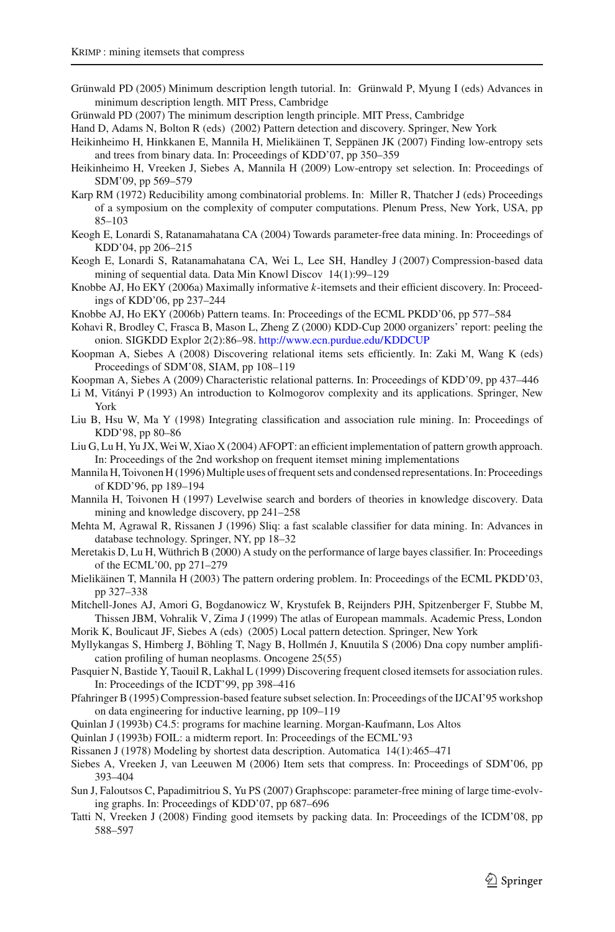<span id="page-44-9"></span>Grünwald PD (2005) Minimum description length tutorial. In: Grünwald P, Myung I (eds) Advances in minimum description length. MIT Press, Cambridge

<span id="page-44-10"></span>Grünwald PD (2007) The minimum description length principle. MIT Press, Cambridge

- <span id="page-44-1"></span>Hand D, Adams N, Bolton R (eds) (2002) Pattern detection and discovery. Springer, New York
- <span id="page-44-18"></span>Heikinheimo H, Hinkkanen E, Mannila H, Mielikäinen T, Seppänen JK (2007) Finding low-entropy sets and trees from binary data. In: Proceedings of KDD'07, pp 350–359
- <span id="page-44-17"></span>Heikinheimo H, Vreeken J, Siebes A, Mannila H (2009) Low-entropy set selection. In: Proceedings of SDM'09, pp 569–579
- <span id="page-44-19"></span>Karp RM (1972) Reducibility among combinatorial problems. In: Miller R, Thatcher J (eds) Proceedings of a symposium on the complexity of computer computations. Plenum Press, New York, USA, pp 85–103
- <span id="page-44-12"></span>Keogh E, Lonardi S, Ratanamahatana CA (2004) Towards parameter-free data mining. In: Proceedings of KDD'04, pp 206–215
- <span id="page-44-13"></span>Keogh E, Lonardi S, Ratanamahatana CA, Wei L, Lee SH, Handley J (2007) Compression-based data mining of sequential data. Data Min Knowl Discov 14(1):99–129
- <span id="page-44-6"></span>Knobbe AJ, Ho EKY (2006a) Maximally informative *k*-itemsets and their efficient discovery. In: Proceedings of KDD'06, pp 237–244
- <span id="page-44-7"></span>Knobbe AJ, Ho EKY (2006b) Pattern teams. In: Proceedings of the ECML PKDD'06, pp 577–584
- <span id="page-44-22"></span>Kohavi R, Brodley C, Frasca B, Mason L, Zheng Z (2000) KDD-Cup 2000 organizers' report: peeling the onion. SIGKDD Explor 2(2):86–98. <http://www.ecn.purdue.edu/KDDCUP>
- <span id="page-44-30"></span>Koopman A, Siebes A (2008) Discovering relational items sets efficiently. In: Zaki M, Wang K (eds) Proceedings of SDM'08, SIAM, pp 108–119
- Koopman A, Siebes A (2009) Characteristic relational patterns. In: Proceedings of KDD'09, pp 437–446
- <span id="page-44-31"></span><span id="page-44-20"></span>Li M, Vitányi P (1993) An introduction to Kolmogorov complexity and its applications. Springer, New York
- <span id="page-44-28"></span>Liu B, Hsu W, Ma Y (1998) Integrating classification and association rule mining. In: Proceedings of KDD'98, pp 80–86
- <span id="page-44-21"></span>Liu G, Lu H, Yu JX, Wei W, Xiao X (2004) AFOPT: an efficient implementation of pattern growth approach. In: Proceedings of the 2nd workshop on frequent itemset mining implementations
- <span id="page-44-4"></span>Mannila H, Toivonen H (1996) Multiple uses of frequent sets and condensed representations. In: Proceedings of KDD'96, pp 189–194
- <span id="page-44-3"></span>Mannila H, Toivonen H (1997) Levelwise search and borders of theories in knowledge discovery. Data mining and knowledge discovery, pp 241–258
- <span id="page-44-27"></span>Mehta M, Agrawal R, Rissanen J (1996) Sliq: a fast scalable classifier for data mining. In: Advances in database technology. Springer, NY, pp 18–32
- <span id="page-44-29"></span>Meretakis D, Lu H, Wüthrich B (2000) A study on the performance of large bayes classifier. In: Proceedings of the ECML'00, pp 271–279
- <span id="page-44-15"></span>Mielikäinen T, Mannila H (2003) The pattern ordering problem. In: Proceedings of the ECML PKDD'03, pp 327–338
- <span id="page-44-23"></span>Mitchell-Jones AJ, Amori G, Bogdanowicz W, Krystufek B, Reijnders PJH, Spitzenberger F, Stubbe M, Thissen JBM, Vohralik V, Zima J (1999) The atlas of European mammals. Academic Press, London

<span id="page-44-2"></span>Morik K, Boulicaut JF, Siebes A (eds) (2005) Local pattern detection. Springer, New York

- <span id="page-44-24"></span>Myllykangas S, Himberg J, Böhling T, Nagy B, Hollmén J, Knuutila S (2006) Dna copy number amplification profiling of human neoplasms. Oncogene 25(55)
- <span id="page-44-5"></span>Pasquier N, Bastide Y, Taouil R, Lakhal L (1999) Discovering frequent closed itemsets for association rules. In: Proceedings of the ICDT'99, pp 398–416
- <span id="page-44-11"></span>Pfahringer B (1995) Compression-based feature subset selection. In: Proceedings of the IJCAI'95 workshop on data engineering for inductive learning, pp 109–119
- <span id="page-44-25"></span>Quinlan J (1993b) C4.5: programs for machine learning. Morgan-Kaufmann, Los Altos
- <span id="page-44-26"></span>Quinlan J (1993b) FOIL: a midterm report. In: Proceedings of the ECML'93

Rissanen J (1978) Modeling by shortest data description. Automatica 14(1):465–471

- <span id="page-44-8"></span><span id="page-44-0"></span>Siebes A, Vreeken J, van Leeuwen M (2006) Item sets that compress. In: Proceedings of SDM'06, pp 393–404
- <span id="page-44-14"></span>Sun J, Faloutsos C, Papadimitriou S, Yu PS (2007) Graphscope: parameter-free mining of large time-evolving graphs. In: Proceedings of KDD'07, pp 687–696
- <span id="page-44-16"></span>Tatti N, Vreeken J (2008) Finding good itemsets by packing data. In: Proceedings of the ICDM'08, pp 588–597